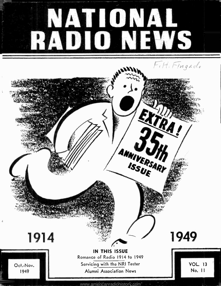# NATIONAL RADIO NEWS

FiH. Fingado

## îIA RA, ANNIVERSARY *<i>r*. المحلوب 1949 1914 IN THIS ISSUE Romance of Radio 1914 to 1949 VOL. 13 Servicing with the NRI Tester Oct.-Nov. No. 11 1949 Alumni Association News

<www.americanradiohistory.com>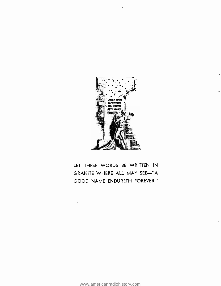

LET THESE WORDS BE WRITTEN IN GRANITE WHERE ALL MAY SEE-"A GOOD NAME ENDURETH FOREVER."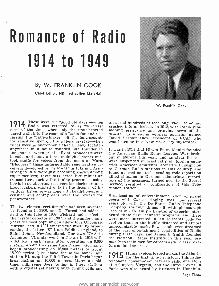## Romance of Radio 1914 to 1949

#### By W. FRANKLIN COOK

Chief Editor, NRI Instruction Material



W. Franklin Cook

1914 These were the "good old days"—when an and Radio was referred to as "wireless" crass **I I T F** Radio was referred to as "wireless" crashed into an iceberg in 1912, with Radio sum-<br>most of the time—when only the stout-hearted moning assistance and bringing news of the dared walk into the room of a Radio fan and risk jarring the "cat's-whisker" off the long-sought-<br>for sensitive spot on the galena crystal—when was listening in a New York City skyscraper.<br>tubes were so microphonic that a heavy footstep anywhere in a house sounded like thunder in the phones-when practically all broadcasts were in code, and many a tense midnight listener misin code, and many a tense midnight listener mis- out in Europe this year, and amateur licenses<br>took static for voices from the moon or Mars. were suspended in practically all foreign coun-"Bloopers," those unforgettable regenerative re- ceivers developed by De Forest in 1912 and Armstrong in 1914, were just becoming known among found at least one to be sending code reports on experimenters; these sets acted like miniature allied shipping to German submarines; recordtransmitters during the tuning process, causing howls in neighboring receivers for blocks around. Loudspeakers existed only in the dreams of inventors; listening was done with headphones, and crushed and aching ears were the reward for perseverance.

by Fleming in 1906, and De Forest had added a records in 1907. Only a handful of experimenters grid to this tube in 1909. Pickard had perfected heard these first "canned" programs, and these the crystal detector in 1907, a years the most popular of all detectors. Of course, Marconi had in 1901 amazed the world by broadcasting the letter "S" from Poldhu, England, to Saint Johns, Newfoundland. Our own NAA in during these days, and James E. Smith founded Arlington, Virginia, went on the air in 1913 with the National Radio Institute in this year pria 100 kw. spark transmitter operating on 6,000 marily to train men 1 meters. About this same time Nauen, Germany, tors on land and sea. began broadcasting on 16,900 meters or about 18,000 cycles (just above the audio band), and station FL atop the Eiffel Tower in Paris began broadcasting on 10,000 meters. Many an old-<br>timer still remembers tuning in these stations at Arlington. Virginia, and the Eiffel Tower in with a crystal set having huge tuning coils and

an aerial hundreds of feet long. The Titanic had crashed into an iceberg in 1912, with Radio sum- moning assistance and bringing news of the disaster to a young wireless operator named David Sarnoff (now President of RCA) who

It was in 1914 that Hiram Percy Maxim founded the American Radio Relay League. War broke were suspended in practically all foreign coun-<br>tries. American amateurs listened with suspicion to German Radio stations in this country and allied shipping to German submarines; recordings of the messages, turned over to the Secret Service, resulted in confiscation of this Telefunken station.

years old, with the De Forest Radio Telephone<br>The two-element rectifier tube had been invented Company starting things off with phonograph<br>by Fleming in 1906, and De Forest had added a records in 1907. Only a handful of ex Broadcasting of entertainment-even of grand opera with Caruso singing-was now several Company starting things off with phonograph unrecognizable music. Few people even dreamed of the vast entertainment possibilities of Radio during these days, and James E. Smith founded marily to train men for careers as wireless opera-

> 1915 Human voices leaped across the Atlantic for the first time in history; this radioat Arlington, Virginia, and the Eiffel Tower in Paris was also heard by listeners in Honolulu.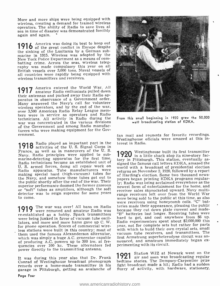More and more ships were being equipped with wireless, creating a demand for trained wireless sea in time of disaster was demonstrated forcibly again and again.

1916 America was doing its best to keep out of the great conflict in Europe despite the sinking of the Lusitania by a German submarine in 1915. Wireless was adopted by the batting crime. Across the seas, wireless telegraphy was made compulsory this year on all British vessels over 3,000 tons. Naval vessels of all countries were rapidly being equipped with wireless transmitters and receivers.

1917 America entered the World War. All their antennas and packed away their Radio apparatus in observance of a Government order. Many answered the Navy's call for volunteer<br>wireless operators, and by the end of the war, over 3,500 American Radio Relay League mem-<br>bers were in service as operators and Radio technicians. All activity in Radio during the war was concentrated in the various divisions of the Government and among Radio manufacturers who were making equipment for the Government.

1918 Radio played an important part in the ter<br>
1918 activities of the U.S. Signal Corps in France, as well as in maneuvers of the U. S. Navy. Radio principles were applied to submarine-detecting apparatus for the first time. tory in Pittsburgh. This station, eventually as-Radio technicians became an established unit of U. S. armed forces, doing all repair work on<br>Radio apparatus. Tube manufacturers were making special hard (high-vacuum) tubes for estimating special hard (high-vacuum) tubes for of Harding's election. Some two thousand new the Navy, and somehow these tubes got out to the public shortly after the end of the war. Their superior performance doomed the former gaseous<br>or "soft" tubes as amplifiers, although the soft<br>detector was to reign supreme for some years<br>range receivers left over from the World War to come.

1919 The war was over! All bans on Radio was vere removed and amateur Radio was re-established as a hobby. Spark transmitters were being junked in favor of vacuum tube oscillators, and more and more hams gave up C. W. for phone operation. Scores of commercial wireless stations were built in this country; most of with which to build their own crystal sets, small them used the famous Alexanderson alternator, which was simply a huge A.C. generator capable in the star and amateurs immediately began ex-<br>of producing A.C. powers up to 300 kw. at fre- nounced, and amateurs immediately began exof producing A.C. powers up to 300 kw. at frequencies over 100 kc. These alternators fed perimenting with its circuit. power directly to the transmitting antenna.

It was during this year also that Dr. Frank Conrad of Westinghouse broadcast phonograph records over a home-made transmitter in his garage in Pittsburgh, getting an avalanche of



From this small beginning in 1920 grew the 50,000 watt broadcasting station of KDKA.

fan mail and requests for favorite recordings. Westinghouse officials were amazed at this interest in Radio.

detector was to reign supreme for some years<br>to come.<br>were being sold to the public at this time, as also **920** Westinghouse built its first transmitter in a little shack atop its nine-story facsigned the famous call letters KDKA, amazed the world with a broadcast of presidential election returns on November 2, 1920, followed by a report of Harding's election. Some two thousand newsly; Radio was being acclaimed everywhere as the newest form of entertainment for the home, and were receivers using honeycomb coils. "C" batteries made their appearance, pleasing the public "B" batteries last longer. Receiving tubes were hard to get, and cost anywhere from \$6 up. Radio experimenters spent about \$2,000,000 this year, not for complete sets but rather for parts vacuum tube receivers, and transmitters. The first Armstrong superheterodyne circuit was an-

> 1921 Station WJZ at Newark went on the air and soon was broadcasting regular bedtime stories. The Dempsey -Carpentier prize fight broadcast made a hit; Radio had a sudden flurry of activity, with hardware, stationery,

Page Four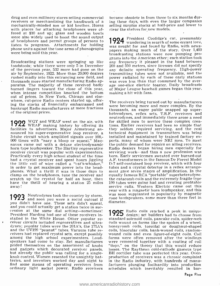drug and even millinery stores selling commercial receivers or merchandising the handiwork of a mechanically- minded son or kid brother. Horns with places for attaching headphones were offered at \$10 and up; glass and wooden bowls were also widely used to boost the sound output of headphones and permit groups of persons to listen to programs. Attachments for holding was sought for and found by Radio, with newsphone units against the tone arms of phonographs were being sold this year.

Broadcasting stations were springing up like toadstools; while there were only 5 in December of the previous year, 532 more had gone on the air by September, 1922. More than 20,000 dealers transmitting tubes were not available, and the rushed madly into this entrancing new field, and power radiated by each of these early stations rushed madly into this entrancing new field, and power radiated hy each of these early stations thousands more started manufacturing Radio ap-<br>thousands more started manufacturing Radio ap-<br>was even less than that consumed thousands more started manufacturing Radio apburned fingers toward the close of this year, when intense competition knocked the bottom out of prices. In New York, Chicago and elsewhere, cut-price Radio centers started up, offerwhere, cut-price Radio centers started up, officially the receivers being turned out by manufacturers ing the stocks of financially embarrassed and weap becoming more and more complex. By the bankrupt Radio manufacturers at mere fractions<br>thousands, an eager public snapped up superof the original prices.

**1922** WGY and WEAF went on the air, with for WEAF making history by offering its tio facilities to advertisers. Major Armstrong an-<br>nounced his super-regenerative loop receiver, a 3-tube circuit which amplified signals over  $100<sub>r</sub>$  installed and maintained by trained factory ex- $000$  times with "nary a bloop or squeal." Mag- perts, many of whom were NRI men. To meet 000 times with "nary a bloop or squeal." Mag-<br>perts, many of whom were NRI men. To meet<br>navox came out with a deluxe electrodynamic the public demand for repairs on ailing receivers.<br>horn type loudspeaker. The Hartley reg the little coil of wire called a "cat's-whisker, in order to get maximum power into the headphones. What a thrill it was in those days to clamp on the headphones, tune the receiver and equally famous RCA "portable" superheterodyne.<br>scratch up the crystal for half an hour, then the catacomb coils and the extremely fragile type scratch up the crystal for half an hour, then have the thrill of hearing a station 25 miles away!

you didn't have one. These sets didn't squeal, and you could actually get a station twice in suc-<br>cession at the same dial setting-sometimes! President Harding had one of these receivers installed in the White House. Other popular re-<br>ceiver circuits included regeneratives and ultra-<br>coils wound on forms like the spokes of a wheel,<br>dynes; popular tubes were the 201A's, the 171A's<br>honeycomb coils, toroidal or and the UV199 "peanut" tubes. Vacuum tube re- ceivers had replaced crystal sets, except possibly among the high school experimenters. Loudspeakers had come to stay. Set manufacturers were cemented together with a coating of coil prided themselves on the assortment of knobs<br>and gadgets which decorated receiver panels, but already the public was calling for a single-<br>knob control. Women resented the unsightly batteries, and inventors worked day and night to in the Radio industry, with hundreds of manu-<br>find some means of operating receivers from facturers plunging foolhardily into production find some means of operating receivers from facturers plunging foolhardily into production ordinary light socket power. Radio receivers schedules which inevitably resulted in barordinary light socket power. Radio receivers

became obsolete in from three to six months during these days, with even the larger companies selling surplus stocks at half-price and lower to clear the shelves for new models.

**1924** President Coolidge's cat, presumably wandering in search of some errant love, was sought for and found by Radio, with news-<br>papers making much of the story. Over 1,400 broadcasting stations were now pumping programs into the American ether; each station took any frequency it pleased in the band between 200 and 550 meters, since licenses did not specify any definite operating frequency. High-power transmitting tubes were not available, and the age one-slice electric toaster. Daily broadcasts of Major League baseball games began this year, making a hit with fans.

1923 Neutrodynes took the country by storm, was soon supplanted in popularity by magnetic<br>1923 and soon you were a social outcast if cone loudspeakers, some more than three feet in were becoming more and more complex. By the heterodynes, reflex sets, T.R.F. receivers and neutrodynes, and immediately there arose a need<br>for skilled men to service these complex creations. Earlier receivers had been so simple that they seldom required servicing, and the real technical equipment in transmitters was being the public demand for repairs on ailing receivers, Radio dealers began hiring men especially for born. Early servicemen sweated over burned-out A.F. transformers in the famous De Forest Model D-7 self-contained loop receiver, which with four tubes and a crystal detector in a reflex arrangement gave seven stages of amplification. In the equally famous RCA "portable" superheterodyne. 199 tubes were going bad and creating profitable service calls. Western Electric came out this year with a magnetic horn loudspeaker, and this was soon supplanted in popularity by magnetic diameter.

> 1925 Radio coils reached a peak in unique standard solenoid coils, pancake coils, spider-web wound coils and even figure-of-eight coils. Coil forms were often removed after the windings "dope," on the theory that this would reduce losses. The Raytheon cold-cathode gaseous type BH rectifier tube was perfected this year. Overproduction of receivers was a chronic complaint in the Radio industry, with hundreds of manu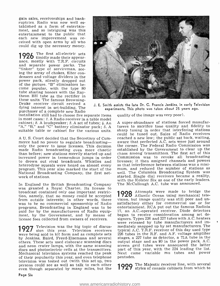gain sales, receiverships and bank-<br>ruptcies. Radio was now well established as a form of entertainment, and so intriguing was this entertainment to the public that ceived with open arms by all who could dig up the necessary money.

 $1926$  The first all-electric sets  $\sqrt{\frac{26}{10}}$ The first all-electric sets ance, mostly with T.R.F. circuits and separate power packs. The "tinker" type of serviceman, see-<br>ing the array of chokes, filter con-<br>densers and voltage dividers in the power pack, silently dropped out of the picture. "B" eliminators be- came popular, with the type <sup>80</sup> theon BH tube as the rectifier in<br>these units. The famous Browning-Drake receiver circuit revived a dying interest in set-building. The purchaser of a complete new Radio

installation still had to choose five separate items in most cases : 1. A Radio receiver in a table model cabinet; 2. A loudspeaker; 3. A set of tubes; 4. An "A," "B," and "C" battery eliminator pack; 5. A suitable table or cabinet for the various units.

<sup>A</sup>U. S. Court decided that the Secretary of Com- merce had no power to regulate broadcasting only the power to issue licenses. This decision the corner. The Federal Radio Commission was made Radio broadcasting even more chaotic established by the Government to clear up the made Radio broadcasting even more chaotic than before; new stations merrily started up and increased power in tremendous jumps in order to drown out rival broadcasts. Whistles and licenses; it then assigned channels and powers<br>heterodyne squeals were heard on almost every so that interference between stations was a miniheterodyne squeals were heard on almost every program. This year also marked the start of the — mum, and reduced the number of stations as<br>National Broadcasting Company, the first net- — well. The Columbia Broadcasting System was National Broadcasting Company, the first network of stations.

In England the British Broadcasting Company was granted a Royal Charter. Its license to broadcast contained only one important restricfrom outside interests; in other words, there vision, but image quality was still poor and un-<br>was to be no commercial sponsorship of Radio satisfactory either for commercial use or for programs. Broadcasting in England was to be paid for by the manufacturers of Radio equiplicense fees collected from owners of receivers.

**1927** Television was the big topic of discus-<br>were being sold in kit form and as complete sets 226 were being sold in kit form and as complete sets<br>by Jenkins, Baird, Freed-Eisemann and several others. These sets used elaborate scanning discs output stage and an 80 in the power pack. A.C.<br>and neon crater lamps, with the same scanning screen grid tubes were announced the latter and neon crater lamps, with the same scanning discs and photoelectric cells at the transmitters. Mechanical television systems reached the peak of their popularity this year, and even telephone television was tested out (with this set up, two persons could see as well as talk to each other even though separated by many miles, but the



J. E. Smith assists the late Dr. C. Francis Jenkins, in early Television experiments. This photo was taken about 25 years ago.

quality of the image was very poor).

A super-abundance of stations forced manufacturers to sacrifice tone quality and fidelity to sharp tuning in order that interfering stations could be tuned out. Sales of Radio receivers reached a new low; the public sat back, waiting, aware that perfected A.C. sets were just around the corner. The Federal Radio Commission was chaos among transmitters. The first act of this Commission was to revoke all broadcasting licenses; it then assigned channels and powers mum, and reduced the number of stations as well. The Columbia Broadcasting System was started. Single dial receivers became a reality, with the Kolster Six as one of the early leaders. The McCullough A.C. tube was announced.

ment, by the Government, and by means of began to receive consideration among set de-<br>license fees collected from owners of receivers. signers. Types 226 and 227 tubes with A.C. heaters 1928 Attempts were made to bridge the Atlantic Ocean using mechanical telesatisfactory either for commercial use or for entertainment. RCA put out the famous Radiola 17, an A.C.-operated receiver. Diode detectors began to receive consideration among set dewere released by tube manufacturers and immediately snapped up by set manufacturers. The typical A.C. T.R.F. receiver of this day used type 226 tubes in the R.F. and A.F. voltage amplifier stages, a 227 tube as detector, a 71A tube in the output stage and an 80 in the power pack. A.C. part of this year, with the 224 leading the list. Next came variable mu tubes and power pentodes.

1929 The Majestic receiver line, with several styles of console cabinets from which to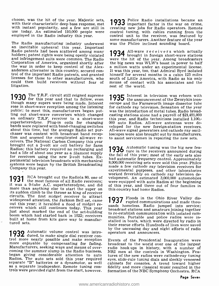choose, was the hit of the year. Majestic sets,  $\bigcirc$   $\bigcirc$   $\bigcirc$   $\bigcirc$   $\bigcirc$   $\bigcirc$  and  $\bigcirc$  important factor in the war on crime, with their characteristic deep bass response, met  $\bigcirc$   $\bigcirc$   $\bigcirc$   $\bigcirc$  important facto use today. An estimated 110,000 people were employed in the Radio industry this year.

some manufacturers. Another feature of the year<br>The Radio manufacturing industry underwent – was the Philco inclined sounding board.<br>an inevitable upheaval this year. Important Radio patents had been scattered among many<br>holders; patent rights were being openly violated<br>holders; patent rights were ceing openly violated<br> $\blacksquare$ <br>and infringement suits were common. The Radio were the hit of the year could then build receivers without fear of litigation.

1930 The T.R.F. circuit still reigned supreme<br>though many supersection and that to follow, even<br>though many supers were being made. Interest in the announcement of the Zworykin icon-<br>rose in short-wave reception among the chaser was content with broadcast band reception and scorned the complicated all-wave receivers. The National Carbon Company this year<br>brought out a 2-volt air cell battery for farm<br>brought out a 2-volt air cell battery fo Radios; this battery required no recharging and had a life of about one year as a filament supply for receivers using the new 2-volt tubes. Experimental television broadcasts with mechanical<br>systems were borne by the Dritish Proposanting<br> $\frac{1000,000}{8,000,000}$  receiving sets were sold this year. Philco systems were begun by the British Broadcasting Company this year.

**1931** RCA brought out the Radiola 80, one of velopment. An estimated 3,000,000 automobiles<br>twas a 8-tube A.C. superheterodyne, and did of this year, and three out of four families in<br>more than anything else to start the s built at home from kits gave way to manufactured sets.

ţ.

1932 Automatic volume control was intro-**T70Z** duced, to make single dial receiver control more enjoyable by compensating for fading. by compensating for fading. Manufacturers, seeking ways and means of over raceoming the summer slump in the Radio business, Nega began giving considerable attention to auto tures of the new radios were cathode-ray tuning Radios. The auto sets sold this year required eyes, slide-rule tuning dials and sleekly veneered separate loudspeaker. Remote tuni

1933 Police Radio installations became an important factor in the war on crime, control tuning, with cables running from the control unit to the receiver, was featured by

1934 All-wave receivers which actually brought in foreign short-wave stations were the hit of the year. Among broadcasters the big news was WLW's boost in power to half It was this year, too, that Admiral Byrd isolated himself for several months in a cabin 123 miles south of Little America, with Radio as his only rest of the world.

**1935** Interest in television was reborn with the announcement of the Zworykin icon-<br>oscope and the Farnsworth image dissector tube for cathode ray television. Sensation of the year casting stations alone had a payroll of \$21,491,000 this year, and Radio technicians installed 1,100,- 000 auto Radios. All-wave antennas were developed for the new foreign-station receivers. All -wave signal generators and cathode ray oscilloscopes were also brought out by manufacturers, to assist servicemen in repairing the new sets.

**1936** Automatic tuning was the big new fea-<br>the fall of this year; most of the early sets also the fall of this year; most of the early sets also<br>had automatic frequency control. Approximately made a few cathode ray television receivers for experimental purposes, and other laboratories worked feverishly on cathode ray television dewere equipped with auto Radios at the beginning this country had home Radios.

1937 Floods in the Ohio River Valley dis-rupted communications and made thoubroadcast stations and amateurs joining together munities. Portable and police radios were installed in boats, which were directed by radio in their rescue efforts. Hundreds of lives were saved by the unceasing day and night efforts of radio

Events of the Presidential Inauguration were broadcast to the world over one of the largest radio hook ups in history, with a number of NRI men at the controls in Washington. Features of the new radios were cathode-ray tuning eyes, slide -rule tuning dials and sleekly veneered fidelity and more classical music resulted in the formation of the NBC Symphony Orchestra. RCA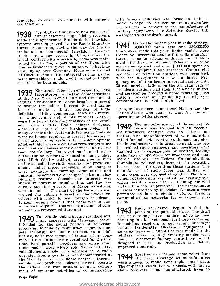ray television.

1938 Push-button tuning was now considered minimal elements almost essential. High fidelity receivers was made their appearance. Standards for television systems were approved by the Radio Manufacturers' Association, paving the way for the introduction of commercial television. Howard tubes were made this year. Radio models were<br>Hughes set a new record in flying around the frozen by agreement among the radio manufac-Hughes set a new record in flying around the world; contact with America by radio was maintained for the major portion of the flight, with ment of military equipment. Television in color<br>Hughes broadcasting over a nation-wide hook-up was demonstrated and over \$8,000,000 spent on Hughes broadcasting over a nation-wide hook-up while flying over Germany. Huge water-cooled 250,000-watt transmitter tubes, taller than a man. made news this year, along with midget or finger-<br>size tuhes for hearing aids.

1939 Electronic Television emerged from the broad laboratories. Important demonstrations and at the New York World's Fair and the start of regular high-fidelity television broadcasts served<br>to arouse the public's interest. Several manufacturers made a limited number of high-<br>definition 441-line commercial television receiv-<br>ers. Time tuning and remote wireless controls<br>were the two outstanding features of the year's<br>new radio models. Radio cabinet desig matched accepted classic furniture styles with  $\blacksquare$   $\blacksquare$  deivers was stopped and all receiver many console units. Automatic frequency controls manufacturers changed over to defense acmany console units. Automatic frequency controls were no longer required to correct for errors in push-button tuning systems, for the development of adjustable iron core coils and zero-temperature tronic engineers were in great demand. The bet-<br>coefficient condensers made electrical tuning sys-<br>ter trained radio engineers and operators were coefficient condensers made electrical tuning systems satisfactory. Improved mechanical pushbutton tuning systems were used in many midget a shortage of operators for broadcast and com-<br>sets. High fidelity cabinet arrangements such mercial stations. The Federal Communications as the acoustic labyrinth became more prevalent among higher priced receivers. Wind chargers were available for farming communities and<br>built-in loop aerials were brought back as a noisereducing feature. Considerable interest was shown in facsimile broadcasting, and the fre-<br>quency modulation system of Major Armstrong was announced. The start of the European war of mass education by television. Amateurs were revived the public's interest in short-wave re-<br>ceivers with which to hear foreign broadcasts.<br>It soon became evident that radio was to play an important part in this war as a means of com-<br>munication between military units.

1940 To keep the public buying standard sets, was next as a present of the many appeared with "television jacks" intended for the sound portion of television programs. Frequency modulation began to com-<br>pete seriously for public interest as a high<br>fidelity, noise-free means of transmission; commercial FM stations were permitted for the first made in electronic factory control equipment, time. Real portable receivers and extra small<br>table models were widely sold. Tubes with 117volt filaments made their appearance. A radio operated from a gas flame was demonstrated at the World's Fair. (The flame heated a thermocouple which produced sufficient power to operate were allowed to make some replacement parts.<br>the radio) The war brought about a curtail- The emphasis was still on war needs, with no new the radio.) The war brought about a curtailment of amateur activities as communication

conducted extensive experiments with cathode with foreign countries was forbidden. Defense measures began to be taken, and many manufacturers began to convert to the manufacture of military equipment. The Selective Service Bill was signed and the draft started.

> **1941** So far the biggest year in radio history;<br>**1941** 13,000,000 radio sets and 130,000,000 tubes were made this year. Radio models were turers, so as to release engineers for developtelevision equipment and research. Commercial operation of television stations was permitted, with the acceptance of new standards. Frequency modulation began to spread rapidly with 30 commercial stations on the air. Hundreds of broadcast stations had their frequencies shifted and servicemen enjoyed a boom resetting push buttons. Interest in high-fidelity record-player combinations reached a high level.

Then, in December, came Pearl Harbor and the United States was again at war. All amateur operating activities stopped.

1942 The manufacture of all broadcast retivities. The manufacturers of war materials called for industrial control equipment and electronic engineers were in great demand. The betsnapped up in defense jobs or drafted, leaving Commission relaxed requirements for operating license classes for operating these stations. The manufacture of radio tubes was limited and many types were dropped altogether. The development of television was halted, but existing television facilities were used in training air raid and civilian defense personnel-the first example permitted to join in civilian defense, forming communications networks for emergency purposes.

1943 Radio servicemen began to feel the pinch of the parts shortage. The draft was now taking large numbers of radio men, was now taking large numbers of radio men,<br>resulting in a business boom for those remaining. Remodeling receivers to get around shortages became fashionable. Electronic equipment of amazing types and quantities was made for the military forces. Equally amazing strides were designed to speed up production and deliver improved materials.

1944 Servicemen obtained some relief from<br>were allowed to make some replacement parts. radio receivers being manufactured. Even so,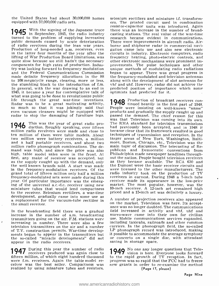the United States had about 30,000,000 homes selenium rectifiers and miniature i.f. transformequipped with 57,000,000 radio sets.

**1945** With the signing of the Japanese<br>**1945** in September, 1945, the radio ind **1945** With the signing of the Japanese truce the urned to the problem of supplying increasing respublic demands caused by acute deterioration Th public demands caused by acute deterioration<br>of radio receivers during the lean war years.<br>Production of long-needed a.m. receivers, even<br>in the latter four months of the year after the lifting of War Production Board limitations, was quite slow because we still hadn't the necessary components for high rates of production. Industry was looking forward to frequency modulation and the Federal Communications Commission made definite frequency allocations in the 88 to 108 megacycle range, clearing, more or less, the stumbling block to the introduction of f.m. In general, with the war drawing to an end in predicted position of importar  $1945$ , it became a year for contemplative talk of optimists had predicted for it. 1945, it became a year for contemplative talk of what was going to be done to revolutionize public<br>life through the great war-time inventions. Radar was to be a great motivating activity,  $\blacksquare$  **T+0** tinued heavily in the first part of 1948.<br>So much so that it was jokingly said that People were insisting on well-known "name"<br>even vacuum cleaners might be equipp radar to stop the damaging of furniture legs.

1946 This was the year of great radio pro-<br>The RMA standard for television transmissions<br>million radio receivers were made and close to became clear that its framework resulted in good million radio receivers were made and close to ten million of them were table models. About techniques of transmission and reception. In the<br>two million were battery receivers, a million targer areas of New York, Washington, Baltitwo million were battery receivers, a million and a half portable receivers, and about two million radio phonograph combinations. The demand was high, and since the price was also high, table model sales were in the front. At Philadelphia made newspaper headlines through-<br>first, any make of receiver was accepted, but out the nation. People bought television receivers as the supply caught up with the demand, only as they became available. The RCA 630 and the well known brands sold. A start was made the Dumont were the basic receiver circuits and in the frequency modulation receivers. Of in the frequency modulation receivers. Of the grand total of fifteen million only half a million frequency-modulated sets were made during this – receivers in earnest. During 1948 a 7-inch tube<br>year. Of particular importance was the emerg- – receiver made its appearance in the low-price ing of the universal a.c.-d.c. receiver using new market. The most popular, however, was the miniature tubes that would lend compactness  $10$ -inch receiver. A 12-inch set remained high to the receiver. Selenium rectifiers to the receiver. Selenium rectifiers, a war-time development, gradually came into some use as a replacement for the vacuum-tube rectifier in  $\Lambda$  number of projection receivers also appeared the small receiver.

In the broadcasting field there was a gradual increased in activity and vhf, uhf and increase in the number of a.m. broadcasting unicro-wave came into their own for civilian transmitters going on the air. F.M. stations we television transmitters on the air and a number of T.V. construction permits. War -time developments began to appear in the transmitters but it possible to accommodate the average symphony<br>the so-called "miracle developments" did not or concerto on a single disc, with attendant the so-called "miracle developments" did not appear in the radio receivers.

 $\lambda$ 

**7** During this year the number of radio 1 fifteen million, of which eight hundred thousand to the rapid growth of TV reception. In fact, were f.m. receivers. Again the table model re- progress was so rapid that the FCC had to freeze ceiver was the best seller. Co

ers. The printed circuit used in combination resistor -capacitor units was introduced. Again there was an increase in the number of broadcasting stations. The real value of the war -time research became evident in communications. There were improvements in aircraft radio. Airborne and shipborne radar in commercial navigation came into use and also new electronic circuits in industry. Electronic computers, radio frequency heating, photo-electric controls, and other electronic mechanisms were prominent improvements. The pulse techniques and other unique methods of modulating radio radiations began to appear. There was great progress in the frequency-modulated and television antennas along with the development of slot antennas for vhf and uhf. However, radar did not achieve the predicted position of importance which some

1 948 Production of broadcast receivers con-tinued heavily in the first part of 1948. People were insisting on well-known "name" products and gradually the supply caught up and pas that Television was coming into its own. had previously been accepted, and in 1948 it techniques of transmission and reception. In the more, Boston, Chicago, etc., Television was the main topic of discussion. The telecasting of Republican and Democratic conventions from Philadelphia made newspaper headlines throughthe Dumont were the basic receiver circuits and radio industry took on the production of TV receivers in earnest. During 1948 a 7 -inch tube receiver made its appearance in the low -price market. The most popular, however, was the <sup>10</sup>-inch receiver. A 12 -inch set remained high priced and a 15 -inch set was definitely a luxury.

on the market. Television was here. Its accept-<br>ance was no longer doubted. The communications field increased in activity and vhf, uhf and use. Mobile communications services expanded, LP phonograph record was introduced, making saving in storage space.

949 No one any longer questions that Tele-vision is here. Everyone looks forward to the rapid growth of TV reception. In fact, progress was so rapid that the FCC had to freeze (Page 17, please)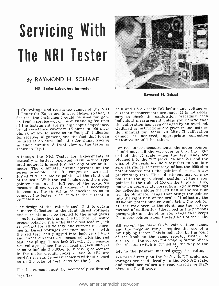# Servicing With The NRI Tester

### By RAYMOND H. SCHAAF

<sup>N</sup>RI Senior Laboratory Instructor



Raymond H. Schaaf

**Tester for Experiments were chosen so that, if** desired, the instrument could be used for general radio service work. The outstanding features of the instrument are its high input impedance, broad resistance coverage (5 ohms to 100 megohms), ability to serve as an "output" indicator for receiver alignment, and the fact that it can cannot be achieved, app<br>be used as an aural indicator for signal tracing measures should be taken. in audio circuits. A front view of the tester is shown in Fig. 1.

Although the NRI Tester for Experiments is basically a battery operated vacuum-tube type plugged into the "R" jacks (26 and 27) and the multimeter, it is used just like any other multimeter. The ohmmeter circuit operates on the series principle. The "R" ranges are zero adjusted with the meter pointer at the right end of the scale. With the test leads open, the meter pointer rests at the left end of the scale. To measure direct current values, it is necessary to open up the circuit to be checked so as to for deflections along the left half of the scale, or<br>connect the tester in series with the current to use the ohmmeter range that brings the pointer connect the tester in series with the current to be measured.

The design of the tester is such that to obtain a meter deflection to the right, direct voltages and currents must be applied to the input jacks so as to reduce the bias on the 105 tube. To insure proper polarity, place the black test lead in jack 28 ( $-V_{\text{pc}}$ ) for all voltage and current measure-<br>ments. Direct voltages are then measured with and the megohm range, require the use of a<br>the red test lead plugged into jack 29 ( $+V_{\text{no}}$ ) multiplying factor. This is the red test lead plugged into jack 29  $(+V_{\text{po}})$  multiplying factor. This is indicated by the point<br>and direct currents are measured with the red of the knob on the range selector switch. Be and direct currents are measured with the red<br>test lead plugged into jack  $27(+1)$ . To measure a.c. voltages, place the red lead in jack  $30(V_{AC})$ so as to include the .005-mfd. blocking condenser in the meter circuit. Jacks 26 and 27 (R) are the conductive position marked  $_{\text{Meg}}$ , a.d. voltages used for resistance measurements without regard are read directly on the 0-4.5 volt DC scale, a.c. used for resistance measurements without regard as to the color of test leads for the jacks.

The instrument must be accurately calibrated

Page Ten

THE voltage and resistance ranges of the NRI at 0 and 1.5 on scale DC before any voltage or<br>Tester for Experiments were chosen so that, if current measurements are made. It is not neces sary to check the calibration preceding each individual measurement unless you believe that the calibration has been changed by an overload. Calibrating instructions are given in the instruction manual for Radio Kit 2RK. If calibration cannot be achieved, appropriate corrective

> For resistance measurements, the meter pointer should move all the way over to 0 at the right end of the R scale when the test leads are plugged into the "R" jacks (26 and 27) and the zero resistance. If necessary, adjust the 1000 ohm potentiometer until the pointer does reach approximately zero. This adjustment may or may not shift the open circuit position of the meter pointer to the right of 100 on the R scale. If so, make an appropriate correction in your readings for deflections along the left half of the scale, or into the right half of the scale. If adjusting the 1000 -ohm potentiometer won't bring the pointer all the way over to the right, use the voltage method of calibration (described in the previous paragraph) and the ohmmeter range that keeps the meter pointer along the left half of the scale.

All except the basic  $O-4\frac{1}{2}$  volt voltage range, and the megohm range, require the use of a sure to use the correct multiplying factor. When the selector switch is turned all the way to the left to the position marked  $\frac{V}{Me_{\mathcal{E}}}$ , d.c. voltages voltages are read directly on the 0-5.5 AC scale, and resistance values are read directly in megohms on the R scale.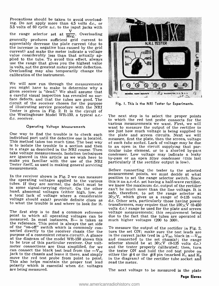Precautions should be taken to avoid overload-<br>ing. Do not apply more than 4.5 volts d.c., or 5.5 volts of 60 cycle a.c. to the input jacks with the range selector set at  $\frac{V}{Meg}$ . Overloading generally produces sufficient grid current to appreciably decrease the plate current (due to current) and make the meter indicate a voltage<br>value considerably less than that actually ap-<br>piled to the tube. To avoid this effect, always<br>use the range that gives you the highest value<br>in volts, not the greatest meter in volts, not the greatest meter pointer deflection. Overloading may also temporarily change the calibration of the instrument.

We will now run through the measurements<br>you might have to make to determine why a given receiver is "dead." We shall assume that a careful visual inspection has revealed no sur-<br>face defects, and that the tubes are good. The<br>circuit of the receiver chosen for the purpose of illustrating service procedure with the NRI Tester is given in Fig. 2. It is the circuit of the Westinghouse Model WR-150, a typical a.c.d.c. receiver.

#### Operating Voltage Measurements

One way to find the trouble is to check each the plate and screen circuits. Next we will individual part until the defective one is located. This method takes too much time. The best way at each tube socket. Lack of volta is to isolate the trouble to a section and then<br>to a stage as described in the NRI course. Then take voltage measurements. Isolation techniques<br>are ignored in this article as we wish here to<br>make you familiar with the use of the NRI<br>Tester itself, as used in making general servicing<br>measurements.

point to which all operating voltages can be due measured. In most instances, B— is taken as must be reference. This point is always the set side of the "on-off" switch which is commonly con-<br>nected directly to the receiver chasis (for the tur purpose of a convenient return circuit). A glance at the diagram of the model WR -150 shows this to be true of this particular receiver. Our voltmeter connections are thus simplified, for we<br>can connect the black test lead from the  $-V_{\text{bc}}$ <br>jack to the chassis and leave it there, and simply<br>move the red test probe from point to point.<br>This also helps maintain the



Fig. I. This is the N RI Tester for Experiments.

The next step is to select the proper points to which the red test probe connects for the various measurements we want. First, we will see just how much voltage is being supplied to the plate and screen circuits. Next we will measure, first the plate, then the screen, voltage to an open in the circuit supplying that par-<br>ticular tube element, or to a shorted by-pass<br>condenser. Low voltage may indicate a leaky<br>by-pass or an open filter condenser (this last particularly if the rectifier output is low).

In the receiver shown in Fig. 2 we can measure in the range selector switch. Since<br>the operating voltages applied to the various this is an a.c.-d.c. set having a half-wave rectifier,<br>tubes. If they are normal, the defect volts d.c.) range be used for the plate and screen<br>The first step is to find a common reference voltage measurements; this requirement being<br>point to which all operating voltages can be due to the fact that the tubes are o Before connecting the tester to the selected measurement points, we must decide at what position to set the range selector switch. Since we know the maximum d.c. output of the rectifier safe, therefore, to set the range selector at  $30\times V$ , which gives us a range of 0-135 volts d.c. Other sets, particularly those having power much higher voltages (200 to 300).

> To measure the output of the rectifier in Fig. 2, turn the set ON; make sure the test leads are in the correct jacks (red in  $+V_{\text{pc}}$ , black in  $-V_{\text{pc}}$ and connected to the set chassis); the range<br>selector should be at  $30\times V$  (0-135 volts d.c.)<br>and the tester properly calibrated; then, turn<br>the tester ON and hold the red test probe on<br>either the #4 or the #8 pin (marked in the diagram) of the rectifier tube socket and read the meter.

The next voltage to be measured is the plate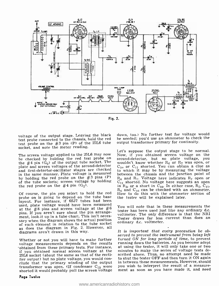

Fig. 2.

voltage of the output stage. Leaving the black test probe connected to the chassis, hold the red test probe on the #3 pin (P) of the 25L6 tube socket, and note the meter reading.

plate and screen voltages of the second -detector and first -detector -oscillator stages are checked in the same manner. Plate voltage is measured by holding the red probe on the  $#3$  pins  $(P)$ of the tube sockets; screen voltage by holding the red probe on the  $#4$  pin  $(G_2)$ .

Of course, the pin you select to hold the red probe on is going to depend on the tube base layout. For instance, if 6SJ7 tubes had been used, plate voltage would have been measured at the  $#8$  pins and screen voltage at the  $#6$ pins. If you aren't sure about the pin arrange-<br>ment, look it up in a tube chart. This isn't necessary when the diagram shows the actual position and tester draws farmed is<br>of each element in relation to the tube socket ordinary d.c. voltmeter. as does the diagram in Fig. 2. However, all diagrams aren't drawn in this way.

voltage measurements depends on the results 'obtained from these primary tests. For instance, if you obtained normal screen voltage at the 25L6 socket (about the same as that of the rectifier output) but no plate voltage, you would con- clude that the primary winding of the output transformer was open. (If condenser  $C_{13}$  were you wish to interpret the result of a measure-<br>shorted it would probably pull the screen voltage ment as soon as you have made it, and need

down, too.) No further test for voltage would be needed; you'd use an ohmmeter to check the output transformer primary for continuity.

The screen voltage applied to the 25L6 may now Now, if you obtained screen voltage on the be checked by holding the red test probe on second-detector, but no plate voltage, you the #4 pin (G<sub>2</sub>) of the output tube socket. Let's suppose the output stage to be normal. Now, if you obtained screen voltage on the second -detector, but no plate voltage, you wouldn't know whether  $R_6$  or  $R_7$  was open, or to which it may be by measuring the voltage between the chassis and the junction point of  $R_6$  and  $R_7$ . Voltage here indicates  $R_7$  open or  $C_{11}$  shorted. No voltage here suggests an open in  $R_6$ , or a short in  $C_{10}$ . In either case,  $R_7$ ,  $C_{11}$ ,  $R_6$  and  $C_{10}$  can be checked with an ohmmeter. How to do this with the ohmmeter section of the tester will be explained later.

> You will note that in these measurements the tester has been used just like any ordinary d.c. voltmeter. The only difference is that the NRI Tester draws far less current than does an

Whether or not you will have to make further turned ON for long periods of time, to prevent It is important that every precaution be observed to prevent the instrument from being left running down the batteries. As you become adept at using the tester, it will only take one or two minutes to make the series of voltage tests described above. Thus, no attempt need be made to shut the tester OFF and then turn it ON again in between these measurements. However, should you wish to interpret the result of a measure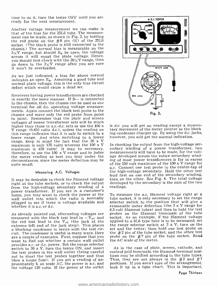time to do it, turn the tester OFF until you are ready for the next measurement.

Another voltage measurement we can make is ment can be made, as shown in Fig. 3, by holding the red probe on the  $#8$  pin  $(K)$  of the 25L6 socket. (The black probe is still connected to the chassis.) The *normal* bias is measurable on the  $3\times V$  range, but should  $R<sub>8</sub>$  be open, the voltage across it will equal the plate voltage. Hence, you should first check with the  $30\times V$  range, then go down to the  $3\times V$  range after you are sure it won't be overloaded.

As we just indicated, a bias far above normal indicates an open  $R_8$ . Assuming a good tube and normal plate voltage, this is the only bias circuit defect which would cause a dead set.

Receivers having power transformers are checked in exactly the same manner. If  $B$ — is connected to the chassis, then the chassis can be used as one terminal for all d.c. operating voltage measure-<br>ments. Again connect the black test probe to the chassis and move only the red probe from point to point. Remember that the plate and screen voltages of power transformer sets will be much higher than those in a.c.-d.c. sets so use the 100 x V range (0-450 volts d.c.), unless the reading on tary movement of the meter pointer as the block<br>this range indicates that it is safe to switch to a log condenser charges up. By using the d.c. jacks,<br>lower range. And whe range, keep in mind the fact that the 30 x V<br>maximum is only 135 volts whereas the 100 x V In checking the output from the high-voltage secmaximum is only 135 volts whereas the 100 x V maximum is 450 volts! It may be necessary, therefore, to use the  $100 \times V$  range and to judge the meter reading as best you may under the circumstances, since the meter deflection may be ing of most power transformers is far in excess<br>of the 550 yolt maximum of the 100 x V range for quite small.

#### Measuring A.C. Voltages

It may be desirable to check the filament voltage right at the tube sockets, or to check the output from the high-voltage secondary winding of a - readings.<br>power transformer. If you are in a customer's<br>home you may want to check the power at the - To measure the a.c. filament voltage right at a home, you may want to check the power at the To measure the a.c. filament voltage right at a<br>wall outlet into which the radio is normally tube socket it is only necessary to set the range wall outlet into which the radio is normally tube socket, it is only necessary to set the range<br>plugged to see if there is voltage available and selector switch to the position that will give a plugged to see if there is voltage available and whether it is a.c. or d.c.

As already pointed out, alternating voltages are measured with the black test lead in  $-V_{\text{po}}$  and the red test lead in the  $V_{AC}$  (the jack at the extreme left end of the jack strip). This places a blocking condenser in series with the test circuit. The condenser is useful in many ways. Here are a couple of examples. First, suppose that you want to find out whether a certain wall outlet provides a.c. or d.c. power. Set the range selector switch to 30 x V, turn the tester ON, and insert the test probes in the wall outlet (being careful not to short the test probes together and thus blow a house fuse). If you get a reading of approximately 4, on scale AC, the power is a.c. and the voltage 120 volts. If the power at the outlet



is  $d.c.$  you will get no reading except a momening condenser charges up. By using the d.c. jacks, however, you will get the normal indication.

ondary winding of a power transformer, two measurements will have to be made, for the voltage developed across the entire secondary winding of most power transformers is far in excess of the 550 volt maximum of the 100 x V range for a.c. Connect one test probe to the center -tap of the high -voltage secondary. Hold the other test lead first on one end of the secondary winding, then on the other. See Fig. 4. The total voltage developed by the secondary is the sum of the two readings.

reasonable meter deflection (the 3 x V range for 6.3 -volt filament tubes) and then to hold the test probes on the filament terminals of the tube socket. As an example, if the filament voltage applied to a 6L6 type tube is to be measured, set the range selector switch at  $3 \times V$ , turn on the set and the tester; then hold one test probe on the  $\#2$  pin of the tube socket, and the other test probe on the  $#7$  pin of the tube socket. Read the AC scale of the meter.

As in the case of plate, screen, cathode, and control grid terminals, the filament terminal positions may be shifted according to the tube types. Thus, they are not always in the  $#2$  and  $#7$ positions. If you aren't sure of the arrangement, look it up in a tube chart. This is important,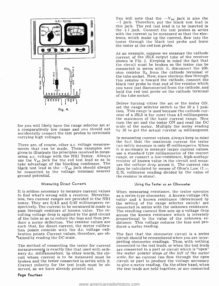

for you will likely have the range selector set at a comparatively low range and you should not accidentally connect the test probes to terminals carrying high voltages.

take advantage of the blocking condenser. The ure the voltage drop across it. The current can black test lead in the  $-V_{D0}$  jack should always then be calculated hy means of Ohm's Law (I = black test lead in the  $-V_{\text{D}0}$  jack should always be connected to the voltage terminal nearest ground potential.

#### Measuring Direct Currents

It is seldom necessary to measure current values When measuring resistance, the tester operates to find what's wrong with a receiver. Nevertheless, two current ranges are provided in the NRI tester. They are 0/4.5 and 0/45 milliamperes re- spectively. The current to be measured is made to pass through resistors of known value. The re-<br>sulting voltage drop is applied to the grid circuit<br>of the known resistance which is inversely<br>of the tube so as to reduce the bias and thus pro-<br>proportional to the value of of the tube so as to reduce the bias and thus produce a meter deflection. The resistor values are such that, for direct current, the meter calibration points coincide with the d.c. voltage calibration points. Current values, therefore, are ob- 'tained by reading the DC scale.

measurements is exactly like that used with ordinary d.c. milliammeters. In other words, the circuit whose current is to be measured must be  $\,$  scale, for no current can flow through the open broken and the tester connected in series with it. Correct polarity for the test leads must be observed, as we have already pointed out.

Page Fourteen

You will note that the  $-V_{\text{D0}}$  jack is also the  $-1$  jack. Therefore, put the black test lead in this jack. The red test lead is to be inserted in the  $+I$  jack. Connect the test probes in series with the current to be measured so that the electrons, which make up the current, flow into the tester through the black test probe and leave the tester at the red test probe.

As an example, suppose we measure the cathode current of the 25L6 output tube of the receiver shown in Fig. 2. Keeping in mind the fact that the circuit must be broken so the tester can be<br>connected in series with it, disconnect the 100ohm resistor  $R_8$  from the cathode terminal of the tube socket. Now, since electron flow through this resistor is toward the cathode, connect the black test probe to that end of the resistor which you have just disconnected from the cathode, and hold the red test probe on the cathode terminal of the tube socket.

Before turning either the set or the tester ON. set the range selector switch to the  $10 \times I$  position. This range is used because the cathode current of a 25L6 is far more than 4.5 milliamperes, the maximum of the basic current range. Now turn the set and the tester ON and read the DC scale of the meter. Multiply the meter reading by 10 to get the actual current in milliamperes.

There are, of course, other a.c. voltage measure-<br>ments that can be made. These examples are<br>given to illustrate the principles involved in meas-<br>given to illustrate the principles involved in meas-<br>uring a.c. voltage wit In measuring current values, always keep in mind can safely measure is only 45 milliamperes. When it is necessary to measure larger current values. ure the voltage drop across it. The current can  $E/R$ , voltmeter reading divided by the value of the resistor in ohms).

#### Using the Tester as an Ohmmeter

as a series-type ohmmeter. A known voltage (4 $\frac{1}{2}$ volts) and a known resistance (determined by the setting of the range selector switch) are connected in series with the unknown resistance. The resulting current flow sets up a voltage drop across the known resistance which is inversely proportional to the unknown re- sistance. This voltage reduces the bias and produces a meter reading.

preting ohmmeter readings. Thus, with nothing<br>The method of connecting the tester for current connected to the test leads, or when the test leads The fact that the ohmmeter circuit is a series circuit should be remembered when you are interconnected to the test leads, or when the test leads are connected to a part or circuit which is "open" the meter pointer stays at the left of the meter circuit or part to produce the voltage necessary to give a meter reading. On the other hand, when the test leads are held together, or are connected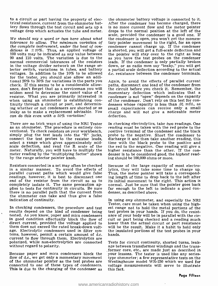to a circuit or part having the property of electrical resistance, current from the ohmmeter bat-<br>tery flows through the test circuit and sets up a tery flows through the test circuit and sets up a is no more current flow and the meter pointer voltage drop which actuates the tube and meter. drops to the normal position at the left of the

We should say a word or two here about what the condenser is open, you won't get the momentolerance to allow. The minimum variation of tary pointer movement to the right, for an open<br>the complete instrument, under the best of con- condenser cannot charge up. If the condenser ditions is  $\pm 10\%$ . Thus, an applied voltage of 100 volts may be indicated as any value between the pointer will stay over to the right as long  $90$  and  $110$  volts. The variation is due to the as you have the test probes on the condenser 90 and 110 volts. The variation is due to the normal commercial tolerances of the resistors in the voltage divider network on the range se-<br>lector switch, variations in tubes, and battery a partial scale deflection according to the actual<br>voltages. In addition to the 10% to be allowed d.c. resistance between the for the tester, you should also allow an additional 20% to 30% for variations in the parts you check. If this seems to be a considerable allowance, don't forget that as a serviceman you will  $\overline{ }$  the circuit before you check it. Remember, the seldom need to determine the exact value of a momentary deflection which indicates that a seldom need to determine the exact value of a momentary deflection which indicates that a resistor. What you are primarily interested in condenser is not "open" depends on the capacity when using an ohmmeter is establishi when using an ohmmeter is establishing con- tinuity through a circuit or part, and determining whether or not condensers are shorted or so leaky as to make a replacement advisable. You can do this even with a  $50\%$  variation!

There are no trick ways of using the NRI Tester In checking electrolytics, take two readings. One as an ohmmeter. The procedure is entirely con-<br>versions you were sension of the condenser and the black<br>verticonal. To chec meter. Naturally, you will have to multiply the meter reading by the "multiplying factor" shown denser is to be considered good, the by the range selector pointer knob. ing should be 100,000 ohms or more. by the range selector pointer knob.

Resistors connected in a set may often be checked in a similar manner. To avoid the effects of lytics, they will take some time to charge up.<br>parallel current paths which would give false Thus, the meter pointer will take a correspondparallel current paths which would give false readings, however, it is best to disconnect one end of the resistor from the circuit so as to plies to tests for continuity in circuits. Be sure far enough to the left to there is no parallel path that the current from denser, as described above. the ohmmeter can take and thus give a false indication of continuity.

In checking condensers, the procedure and test est range not to hold the metal portions of the results depend on the kind of condenser being test probes in your hands. If you do, the resist-<br>tested. As you know, paper and in good condition effectually block the flow of direct current, provided the voltage applied to them does not exceed the rated break -down voltage. Electrolytic condensers used in filter sysage. Electrolytic condensers used in filter sys-<br>tems, however, permit a certain amount of d.c. hands. current to flow through them. Electrolytics are polarized, while non -electrolytics are connected without regard to polarity.

Because paper and mica condensers block the your lessons. The tester is used like any seriesflow of d.c., we get only a momentary movement of the ohmmeter pointer as the test probes are connected to one of these types of condensers. This is due to the charging of the condenser as

the ohmmeter battery voltage is connected to it. After the condenser has become charged, there drops to the normal position at the left of the scale, provided the condenser is a good one. If tary pointer movement to the right, for an open is shorted, you will get a full-scale deflection and the pointer will stay over to the right as long leads. If the condenser is only partially broken down, or as radio men say "leaky," you will get d.c. resistance between the condenser terminals.

Again, to avoid the effects of parallel current paths, disconnect one lead of the condenser from the circuit before you check it. Remember, the condenser is not "open" depends on the capacity densers whose capacity is less than .01 mfd., as small capacitances can receive only a small charge and will not give a noticeable meter deflection.

In checking electrolytics, take two readings. One reading must be taken with the red probe to the positive terminal of the condenser and the black probe to the negative. Short the condenser to discharge it and then take another reading, this time with the black probe to the positive and denser is to be considered good, the highest read-

Because of the large capacity of most electrolytics, they will take some time to charge up. ing length of time to drop back to the left after its initial movement to the right. This action is normal. Just be sure that the pointer goes back far enough to the left to indicate a good con-

In using any ohmmeter, and especially the NRI Tester, care must be taken when using the highest range not to hold the metal portions of the test probes in your hands. If you do, the resistcuit or part being checked and a reading much lower than the actual circuit or part resistance will be the result. Make it a habit to hold only

Tests for circuit continuity, shorted turns, leakage between transformer windings and the trans- . former core, etc., are made just as described in type ohmmeter; a few representative tests on the Westinghouse model WR-150 which we used for voltage measurements will serve to illustrate this fact.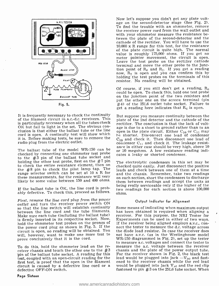

It is frequently necessary to check the continuity of the filament circuit in a.c.-d.c. receivers. This is particularly necessary when all the tubes check OK but fail to light in the set. The obvious con-<br>clusion is that either the ballast tube or the line<br>open in the plate circuit. Either  $C_{16}$  or  $C_{11}$  may cord is open. A continuity test will show which it is. Before making tests, be sure to remove the radio plug from the electric outlet.

checked by connecting one ohmmeter test probe to the #3 pin of the ballast tube socket and holding the other test probe, first on the  $#7$  pin to check the entire resistance element, then on the  $#8$  pin to check the pilot lamp tap. The leads and check between one of them at a time<br>range selector switch can be set at  $10 \times R$  for and the chassis. Remember, take two readings range selector switch can be set at 10 x R for these measurements, for the resistance will very

If the ballast tube is OK, the line cord is probably defective. To check this, proceed as follows.

First, remove the line cord plug from the power outlet and turn the receiver power switch ON<br>so that the line switch will establish continuity Some means of indicating when maximum output<br>between the line cord and the tube filaments. has been obtained is required when a between the line cord and the tube filaments. Make sure each tube (including the ballast tube) receiver. For this purpose, the NRI Tester for<br>is firmly inserted in its respective socket. Now. Experiments can be used in either of two ways. is firmly inserted in its respective socket. Now, Experiments can be used in either of two ways.<br>hold the ohmmeter test probes on the prongs of If the receiver being aligned employs a.v.c., conhold the ohmmeter test probes on the prongs of If the receiver being aligned employs  $a.v.c.,$  contribution on the prongs of  $a.v.c.,$  contribution on the proof. the power cord plug as shown in Fig. 5. If the circuit is open, no reading will be obtained. You will, however, want to make one more test to prove conclusively that it is the cord.

To do this, hold the ohmmeter lead on the receiver chassis and touch the other one to the  $\#3$ in of the ballast tube socket. A reading for this test, coupled with an open-circuit reading for the first test, is proof that the open in the filament ened to the receiver chassis while the red lead circuit is caused by a defective line cord or a would be plugged into jack  $V_{AC}$  and the red clip circuit is caused by a defective line cord or a defective OFF -ON switch.

Page Sixteen

Now let's suppose you didn't get any plate voltage on the second-detector stage (See Fig. 2).<br>To find the trouble with an ohmmeter, remove the receiver power cord from the wall outlet and with your ohmmeter measure the resistance between the plate of the second -detector and the cathode of the rectifier. You will have to use the 10,000 x R range for this test, for the resistance of the plate circuit is quite high. The normal<br>value is roughly 175,000 ohms. If you get no meter pointer movement, the circuit is open. Leave the test probe on the rectifier cathode terminal and move the other probe to the junction point of  $R_6$  and  $R_7$ . If you get a reading now,  $R_7$  is open and you can confirm this by holding the test probes on the terminals of this resistor. No reading will be obtained.

Of course, if you still don't get a reading,  $R_6$  could be open. To check this, hold one test probe on the junction point of the two resistors and<br>put the other one on the *screen* terminal (pin  $#4$ ) of the 25L6 outlet tube socket. Failure to get a reading here indicates that  $R_0$  is open.

The ballast tube of the model WR-150 can be ance in either case should be very high, above 10 or 20 megohms. A low resistance reading indi-But suppose you measure continuity between the plate of the 2nd detector and the cathode of the rectifier. The conclusion is that the lack of voltopen in the plate circuit. Either  $C_{10}$  or  $C_{11}$  may be shorted. Disconnect one lead of condenser  $C_{10}$  and check it. Then disconnect one lead of condenser  $C_{11}$  and check it. The leakage resistance in either case should be very high, above 10 or 20 megohms. A low resistance reading indicates a leaky or shorted condenser.

likely be some value between 150 and 400 ohms.<br>being readings and accept the units as<br>being really serviceable only if the higher of the The electrolytic condensers in this set may be checked quite easily. Just disconnect the positive on each section, short the condensers to discharge two readings for each section is above 100,000 ohms.

#### Output Indicator for Alignment

receiver. For this purpose, the NRI Tester for the diode load resistor. In case the receiver does not have a.v.c. (as in the Westinghouse model WR -150 diagrammed in Fig. 2), set up the tester to measure a.c. voltages and connect the tester to measure the a.c. voltage between the receiver chassis and the plate of the power output tube. For the receiver shown in Fig. 2, the black test lead would be plugged into jack  $-V_{\text{pc}}$  and fastened to the receiver chassis while the red lead fastened to pin  $#3$  on the 25L6 tube socket. When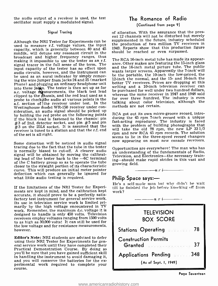the audio output of a receiver is used, the test oscillator must supply a modulated signal.

#### Signal Tracing

Although the NRI Tester for Experiments can be used to measure r.f. voltage values, the input capacity, which is generally between 40 and 45 mmfds., will detune any resonant circuit in the broadcast and higher frequency ranges, thus<br>making it impossible to use the tester as an r f The RCA 16-inch metal tube has made its appearmaking it impossible to use the tester as an r.f. signal tracer in the full sense of the term. The input capacity of the tester has no effect upon be used as an aural indicator by simply remov-<br>ing the wire jumper from jacks 24 and 25 (marked Phone) and plugging an ordinary headphone unit<br>into these jacks. The tester is then set up as for into these jumps. The tester is then set up as for a be purchased for well under two hundred dollars, a.c. voltage migasurements, the black test lead clipped to the chassis, and the red lead used as a subsequent whereas the same receiver in 1947 and 1948 sold<br>probe to check the audio at various points in the for over three hundred. The industry is even a.f. section of the receiver under test. In the Westinghouse model WR-150 receiver under consideration, an audio signal should be picked up by holding the red probe on the following points  $#3$  of 2nd. detector socket, and pin  $#5$  and pin  $#3$  on the 25L6 socket. It is assumed that the receiver is tuned to a station and that the r.f. end of the set is all right.

Some distortion will be noticed in audio signal<br>tracing due to the fact that the tube in the tester opportunities are everywhere! The man who has is normally biased to cut-off. A clearer audio signal will be obtained by moving the calibrating lead of the tester back to the  $-6C$  terminal of the C battery group so as to operate the tube  $\frac{mg}{g}$  growing field. closer to the straight portion of its characteristic curve. This will produce an initial meter pointer deflection which can generally be ignored for what little audio testing is required.

If the limitations of the NRI Tester for Experiments are kept in mind, and the calibration kept accurate, it should prove to be a perfectly satisfactory test instrument for general service work. Its use in television service work is limited primarily by the high voltage encountered in TV work. Remember, the maximum d.c. voltage it is designed to handle is only 450 volts. Television receivers employ voltages ranging from 1500 volts to as high as 30,000 volts! It can still be used for the low voltage and for resistance measurements, however.

Editor's Note: NRI students are advised to defer using their NRI Tester for Experiments for general service work until they have completed their Practical Demonstration Course. By doing so you'll be sure that you have gained sufficient skill in handling the instrument to avoid damaging it, and you will conserve the batteries for the ex-<br>perimental work required to complete your<br>course.

#### The Romance of Radio

#### (Continued from page 9)

of allocation. With the assurance that the present 12 channels will not be disturbed but merely supplemented in the future, industry scheduled the production of two million TV receivers in 1949. Reports show that this production figure should be reached or even surpassed.

ance. Other makes are featuring the 15-inch glass and the 16 -inch metal picture tube. The public wants larger screens. Apparently the 7-inch will be the portable, the 10-inch the low-priced, the <sup>12</sup>-inch the normal, and the 15- and 16 -inch the better TV receivers. Prices are dropping at this writing and a 10-inch television receiver can whereas the same receiver in 1947 and 1948 sold talking about color television, although the methods are not certain.

RCA got out its own micro -groove record, introducing the 45 rpm 7-inch record with a unique fast-acting reproducer. The industry is faced with the problem of building phonographs that will take the old 78 rpm, the new LP 331/3 rpm and new RCA 45 rpm records. The solution seems to lie in the three-speed record changers.

an understanding of the fundamentals of Radio, Television, and Electronics-the necessary training- should make rapid strides in this vast and



#### Philip Space says:-

He's a self-made man but why didn't he wait till he finished the job before knocking off from work?

 $--- n r i$ 

| <b>TELEVISION</b><br><b>BOX SCORE</b>        |  |
|----------------------------------------------|--|
| 78<br><b>Stations Operating Engineering</b>  |  |
| <b>Construction Permits</b><br>37<br>Granted |  |
| Applications Pending 348                     |  |
| (As of Sept. 1, 1949)                        |  |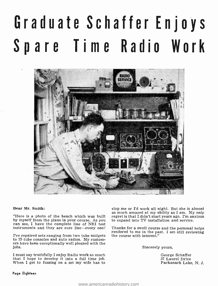## Graduate Schaffer Enjoys Spare Time Radio Work



#### Dear Mr. Smith:

"Here is a photo of the bench which was built regret is that I didn't start years ago. I'm anxious by myself from the plans in your course. As you can see, I have the complete line of NRI test

I've repaired sets ranging from two tube midgets the course with interest." to 15 tube consoles and auto radios. My custom- ers have been exceptionally well pleased with the jobs.

I must say truthfully I enjoy Radio work so much that I hope to develop it into a full time job. When I get to fussing on a set my wife has to

stop me or I'd work all night. But she is almost<br>as much amazed at my ability as I am. My only to expand into TV installation and service.

instruments and they are sure fine—every one! Thanks for a swell course and the personal helps<br>rendered to me in the past. I am still reviewing Thanks for a swell course and the personal helps.

Sincerely yours,

George Schaffer 37 Laurel Drive Packanack Lake, N. J.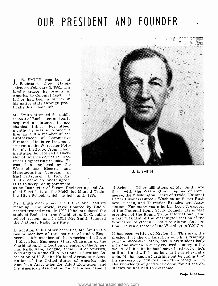### OUR PRESIDENT AND FOUNDER

E. SMITH was born at J. Rochester, New Hampshire, on February 3, 1881. His family traces its origins in America to Colonial days. His father had been a farmer in his native state through practically his whole life.

Mr. Smith attended the public schools of Rochester, and early acquired an interest in me-<br>chanical things. For fifteen months he was a locomotive fireman and a member of the Brotherhood of Locomotive Firemen. He later became a student at the Worcester Polytechnic Institute, from which institution he received a Bachelor of Science degree in Electrical Engineering in 1906. He was then employed by the Westinghouse Electric and Manufacturing Company, in East Pittsburgh. In 1907, Mr. Smith came to Washington,<br>D.C. to accept an appointment



J. E. SMITH

as an Instructor of Steam Engineering and Applied Electricity at the McKinley Manual Training High School, which he held until 1918.

Mr. Smith clearly saw the future and read its meaning. The world, revolutionized by Radio, ciation. For many years he has been Treasurer<br>needed trained men. In 1909-10 he introduced the of the National Home Study Council. He is past needed trained men. In 1909-10 he introduced the<br>study of Radio into the Washington, D. C. public school system and in 1914 Mr. Smith founded a past president of the Washington section of the the National Radio Institute.

In addition to his other activities, Mr. Smith is a Senior member of the Institute of Radio Engineers, a life member of the American Institute of Electrical Engineers (Past Chairman of the you for success in Radio, has in his student body<br>Washington, D. C. Section), member of the Amer- men and women in every civilized country in the Washington, D. C. Section), member of the American Radio Relay League, Radio Club of America, Washington Radio Club, National Education Association of U. S., the National Aeronautic Association of the United States of America, the American Association for Adult Education, and the American Association for the Advancement

of Science. Other affiliations of Mr. Smith are those with the Washington Chamber of Commerce, the Washington Board of Trade, National<br>Better Business Bureau, Washington Better Business Bureau, and Television Broadcasters Association. For many years he has been Treasurer president of the Round Table International, and Worcester Polytechnic Institute Alumni Association. He is a director of the Washington Y.M.C.A.

It has been written of Mr. Smith: This man, the president of the organization which is training you for success in Radio, has in his student body world. All his life he has known hard work-he's still at it and will be as long as he is physically able. He has known hardships but he claims that his successful graduates more than repay him in the knowledge of good work done, for all the obstacles he has had to overcome.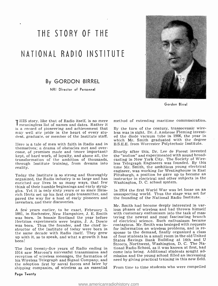## THE STORY OF THE NATIONAL RADIO INSTITUTE

By GORDON BIRREL

NRI Director of Personnel



Gordon Birrel

I HIS story, like that of Radio itself, is no mere me meaningless list of names and dates. Rather it is a record of pioneering and achievement that may well stir pride in the heart of every student, graduate, or member of the Institute staff.

Here is a tale of men with faith in Radio and in themselves: a drama of obstacles met and overcome, of promises made and (more important) kept, of hard work, of loyalty, and above all, the transformation of the ambition of thousands, through Institute training, from dreams into reality.

Today the Institute is so strong and thoroughly Pittsburgh, a position he gave up to become an<br>organized, the Radio industry is so large and has instructor in electrical and other subjects in the organized, the Radio industry is so large and has enriched our lives in so many ways, that few think of their humble beginnings and early struggles. Yet it is only sixty years or so since Heinrich Hertz set up his first crude transmitter, and unsuspecting world. Thus the stage was set for paved the way for a host of early pioneers and inventors, and their discoveries.

A few years earlier, to be exact, February 3, – jous phases of wireless and had thrown himself<br>1881, in Rochester, New Hampshire, J. E. Smith – with customary enthusiasm into the task of mas-1881, in Rochester, New Hampshire, J. E. Smith was born. In bonnie Scotland the year before Hertzian experiments were begun, J. A. Dowie was born. Thus the founder, and the chief inwas born. Thus the founder, and the chief in-<br>structor of the Institute of today were born in for information on wireless problems, and in rethe same decade with Radio itself. They grew up with it, so to speak, and what a growth it has been!

1914 saw Marconi's successful transmission and reception of wireless messages, the formation of his Wireless Telegraph and Signal Company, and the adoption first by naval forces and later by shipping companies, of wireless as an essential method of extending maritime communication.

By the turn of the century, transoceanic wireless was in sight. Dr. J. Ambrose Fleming invented the diode vacuum tube in 1906, the year in which Mr. Smith graduated with the degree B.S.E.E. from Worcester Polytechnic Institute.

Shortly after this, Dr. Lee de Forest invented the "audion" and experimented with sound broadcasting in New York City. The Society of Wireless Telegraph Engineers was founded. By this time Mr. Smith, the ambitious young electrical engineer, was working for Westinghouse in East Pittsburgh, a position he gave up to become an Washington, D. C. school system.

In 1914 the first World War was let loose on an the founding of the National Radio Institute.

The first twenty-five years of Radio ending in tional Radio School, as it was known at first, had Mr. Smith had become deeply interested in var- ious phases of wireless and had thrown himself tering the newest and most fascinating branch of electrical science. Such enthusiasm became contagious. Mr. Smith was besieged with requests sponse to the demand, finally organized a class of four students in a small room in the old United States Savings Bank Building at 14th and <sup>U</sup> Streets, Northwest, Washington, D. C. The Nacome into being. Additional students sought admission and the young school filled an increasing need by giving practical training in this new field.

From time to time students who were compelled

#### Page Twenty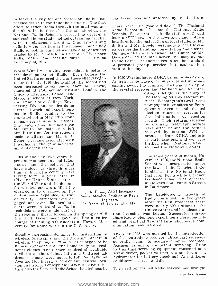to leave the city for one reason or another ex-<br>pressed desire to continue their studies. The first<br>effort to teach Radio through the mail was undertaken. In the face of critics and skpetics, the National Radio School proceeded to develop a successful home study method of training parallel with its classroom training, thus establishing definitely our position as the pioneer home study Radio school. In our files we have a set of lessons graded by Mr. Smith for a student in Livermore Falls, Maine, and bearing dates as early as February 14, 1916.

World War I was giving tremendous impetus to the development of Radio. Even before the United States entered the war these effects began to be felt. By 1916 the staff of the school had been increased to six, one of them Mr. Dowie, educated at Polytechnic Institute, London, the

Chicago Electrical School, the Marconi School of New York, and Penn State College Engineering Division, besides doing electrical work and experimenting in Radio, coming to the young school in May, 1915. Four rooms were required for classes. The heavy demands made upon Mr. Smith for instruction left him little time for the school's business affairs, and Mr. E. L. Degener became associated with the school in charge of advertising and organization.

Thus in the first two years the present management had taken charge, and the policies that have guided us through more than a third of a century were taking form. A year later, in 1917, the United States entered <sup>t</sup>he World War and the demand for wireless operators filled the classrooms to overflowing. Facilities were expanded, a staff<br>of twenty instructors was engaged and over 150 local students were in training. Radio technicians were made part of

the regular military forces. In the Spring of 1918 the U. S. Government gave Mr. Smith entire charge of training 800 students at Howard University for Radio work in the U. S. Army.

Steadily increasing demands for instruction in wireless telegraphy and the growing interest in wireless telephony or "Radio" as it began to be known, expanded both the home study and residence classes. The former required all available to this time servicing equipment consisted of a<br>facilities at the original 14th and U Street ad- screw driver, pocket voltmeter, ammeter, and a facilities at the original 14th and U Street address, so classes were moved to 1345 Pennsylvania hydrometer for battery checking! Any tinkerer Avenue, Northwest, a convenient, central location on historic Pennsylvania Avenue. About this time also the Service Radio School located nearby

was taken over and absorbed by the Institute.

These were "the good old days." The National Radio School had become the National Radio Schools. We operated a Radio station with call letters 3YN between the downtown and uptown locations for the instruction of local students. Mr. Smith and Mr. Dowie personally graded lesson papers besides handling consultation and classes. On more than one occasion, Mr. Smith or Mr. Dowie carried the mail across the busy avenue to the Post Office themselves to set the standard of personal, prompt service that inspires their staff to this day.

In 1920 Westinghouse KDKA began broadcasting. An irrisistable wave of popular interest in broadcasting swept the country. This was the day of the crystal receiver and the head set. An inter-

> esting sidelight is the story of<br>the Harding vs. Cox election returns. Washington's two largest newspapers have offices on Pennsylvania Avenue and flashed election returns on screens for<br>the information of election information of election crowds. Their returns received by ordinary telegraph service<br>were often behind the returns received by station 3YN as<br>broadcast from KDKA and oth-<br>er early stations, and we were thrilled when "National Radio" scooped the Nation's Capital!

The same year and month, November, 1920, the National Radio School was incorporated under the laws of the District of Columbia as the National Radio Institute. For a while a branch residence school was operated at Howard and Franklin Streets in Baltimore.

**Engineers.**<br>34 Years of Service with NRI after the first broadcast there were nearly 600 stations in the The kaleidoscopic growth of Radio continued. In two years United States and broadcast sta-

> tion licensing was begun. Successful ship-toshore Radio -telephone experiments were conducted and practical Transatlantic shortwave com- munication demonstrated.

The year 1923 was marked by the introduction of the neutrodyne receiver. Broadcast receivers generally began to acquire complex technical features requiring competent servicing. Prior to this time servicing equipment consisted of a could service a set-and did.

The need for trained Radio service men brought



J. A. Dowie, Chief Instructor Senior Member, Institute of Radio Engineers.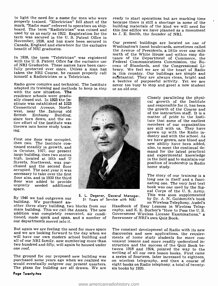to light the need for a name for men who were properly trained. "Electrician" fell short of the mark, "Radio man" referred to operators on ship-<br>board. The term "Radiotrician" was coined and used by us as early as 1922. Registration for the term was secured in the U. S. Patent Office in November, 1928, and has since been secured in Canada, England and elsewhere for the exclusive benefit of NRI graduates.

In 1938, the term "Teletrician" was registered with the U. S. Patent Office for the exclusive use of NRI Graduates. These names have been care- fully protected ever since. Unless a man has taken the NRI Course, he cannot properly call himself a Radiotrician or a Teletrician.

adapted its training and methods to keep in step with the new situation. The residence schools were gradu-

ally closed out. In 1923 the Institute was established at 1223 Connecticut Avenue, Northwest, near the famous old<br>British Embassy Building, since torn down, and the en-<br>tire effort of the Institute was<br>thrown into home study training.

First one floor was occupied, then two. The Institute con- tinued steadily in growth, and in October, 1927, our present large building, then two stories high, located at 16th and U Streets, Northwest, was pur- chased and the second floor occupied. The next year it was necessary to take over the first floor also, and in 1930 the third urgently needed additional space.

By 1946 we had outgrown our building. We purchased an-<br>other three story building, two blocks from our main building. This we call the Annex. The new<br>addition was completely renovated, air conditioned, made spick and span, and a number of our departments moved into it.

But again we are feeling the need for more space The constant development of Radio with its new and we are looking forward to the day when we discoveries and new applications, the require-<br>will have our own modern school b all of our NRI family, now numbering more than two hundred and fifty, will again be housed under one roof.

#### Page Twenty -two

ready to start operations but are marking time because there is still a shortage in some of the building materials of the kind we will need for this fine edifice we have planned as a monument to J. E. Smith, the founder of NRI.

a beehive of purposeful activity. Yet we are<br>Radio grew complex and technical. The Institute never too busy to stop and greet a new student<br>adapted its training and methods to keep in step or an old one. Our present buildings are located on one of Washington's finest boulevards, sometimes called the Avenue of Presidents, a little over one mile north of the White House and within easy distance of the Department of Commerce, the Federal Communications Commission, the Bureau of Standards, and the Congressional Library. We feel we are at the heart of Radio in this country. Our buildings are simple and substantial. They are always clean, bright and never too busy to stop and greet a new student

> Closely paralleling the physi- cal growth of the Institute and responsible for it, has been the growth of the Course and<br>of the instruction staff. It is a matter of pride to the Institute that some of the earliest members of our organization are still with us. They have grown up with the Radio inwe have grown, new blood and<br>new ability have been added,<br>also, to meet the continual demand for the latest practical and experimental knowledge in the field and to maintain our position of leadership in Radio home study.

> The story of our training is a long one in itself and a fascinating one. The very first text<br>book was one used by the Signal Corps of the U. S. Army.<br>This was soon supplemented<br>by Dr. A. N. Goldsmith's book<br>on Wireless Telephony, Audel's

Handbook of Easy Lessons in Wireless Teleg- raphy, and E. E. Bucher's "How to Pass the U. S. Government Wireless License Examinations," a forerunner of NRI's own Quiz Book.

The ground for our proposed new building was a series of fourteen, later increased to eighteen, would eventually outgrow our present quarters. eight books on Radio telephony, a total of twenty-<br>The plans for building are a The constant development of Radio with its new struction and the success of the Quiz Book between 1918 and 1924, pointed the way to the a series of fourteen, later increased to eighteen, eight books on Radio telephony, a total of twenty-

# <sup>31</sup>Years of Service with NRI

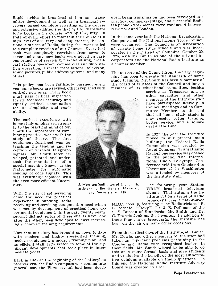Rapid strides in broadcast station and trans-<br>mitter development as well as in broadcast receivers forced complete rewriting of the Course and extensive additions so that by 1926 there were forty books in the Course, and by 1928, fifty. In high level of accuracy and completeness, the con-<br>tinuous strides of Radio, during the twenties led were organized. The Council is an association to a complete revision of our Courses. Every text book was completely rewritten from cover to cover and many new books were added on vari- ous branches of servicing, merchandising, broadcast station operation, commercial and ship station operation, aircraft installations, television, sound pictures, public address systems, and many others.

year some books are revised, others replaced with

entirely new ones. Every book must pass critical inspection for its technical accuracy and equally critical examination for its simplicity and readability.

The earliest experience with home study emphasized strongly to the practical mind of Mr. bining practical work with the study of theory. The first equipment furnished was for teaching the sending and re-<br>ception of wireless telegraph<br>signals. Mr. Smith later developed, patented, and undertook the manufacture of a special machine known as the Natrometer for automatic<br>sending of code signals. This was eventually replaced with the even more efficient Nacometer.

With the rise of set servicing came the need for practical experience in handling Radio

receiving and servicing equipment, a need which<br>was met by development of practical home ex-<br>perimental equipment. In the past twenty years.<br>several distinct series of these outfits have, one<br>after the other, been develope ingly complex training requirements.

Now that our story has brought us down to date with modern and highly specialized training, modern equipment, a modern training plan, and an efficient staff, let's sketch in some of the significant developments that took place in intermediate years.

Back in 1926 at the beginning of the batteryless receiver era, the Radio compass was coming into general use, the Piezo crystal had been developed, beam transmission had been developed to a practical commercial stage, and successful Radio telephone experiments were conducted between New York and London.

In the same year both the National Broadcasting were organized. The Council is an association of private home study schools and was incorporated in the District of Columbia, October 29, 1926, with Mr. Smith as one of the original incorporators and the National Radio Institute as a charter member.

This policy has been faithfully pursued; every the board of trustees of the Council and long a The purpose of the Council from the very beginning has been to elevate the standards of home study training. Mr. Smith has been a member of member of its educational committee, besides

serving as Treasurer and in other capacities, and other members of the Institute staff have participated actively in Council meetings and as Committee Members to the end that all home study students<br>may receive better training, better service, and a square deal all the time.

In 1927, the year the Institute moved to our present main building, the Federal Radio Commission was created by Act of Congress. Transatlantic Radiophone service was opened to the public. The International Radio Telegraph Conference held from October 4 to November 25 in Washington was attended by members of the Institute staff.

The following year Station WRNY broadcast television signals. That autumn the Institute put on a series of Radio broadcasts over a nation -wide

N.B.C. hookup, featuring "The Radiotricians," S. L. Rothafel ( "Roxy "), Dr. J. E. Dellinger of the J. S. Bureau of Standards; Mr. Smith and Dr. C. Francis Jenkins, the inventor. In addition to these four major broadcasts, the Institute has been on the air on many other occasions.

From the earliest days of the Institute, Mr. Smith, Mr. Dowie, and other members of the staff had taken up important problems pertaining to the Course and Radio with recognized leaders in their fields. Mr. Smith wished to be able to do this on a more formal basis and give students and graduates the benefit of the most authoritative opinions available on Radio questions. To this end the National Radio Institute Advisory Board was created in 1929.





J. Morrison Smith, son of J. E. Smith, assistant to the General Manager, and Secretary of NRI.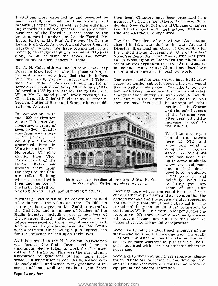Invitations were extended to and accepted by then local Chapters have been organized in a men carefully selected for their variety and number of cities. Among these, Baltimore, Philabreadth of experience, as well as their outstanding records as Radio engineers. The six original ing records as Radio engineers. The six original are the strongest and most active. Baltimore members of the Board represent some of the Chapter was the first organized. great names in Radio: Dr. Lee de Forest, Mr. Edgar H. Felix, Mr. Paul A. Greene, Mr. George Lewis, Prof. C. M. Jansky, Jr., and Major -General George O. Squier. We have always felt it an honor to be recognized in this manner and to pass along to our students the advice and recom-<br>mendations of such leaders in Radio.

Dr. A. N. Goldsmith was added to our Advisory<br>Board in May, 1934, to take the place of Major-<br>General Squier who had died shortly before. With the rapidly growing importance of Television, Mr. Philo T. Farnsworth was invited to space to mention subjects about which we would serve on our Board and accepted in August, 1935, like to write whole pages. We'd like to tell you followed in 1938 by the late Mr. When Mr. Diamond passed away recently, Dr. change in the industry we have strived to include Cledo Brunetti, Chief of Engineering, Electronics Section, National Bureau of Standards, was added to our Advisors.

In connection with the 1929 celebration of our Fifteenth Anniversary, a group of seventy-five Gradu-<br>ates from widely separated parts of this country and Canada<br>assembled here in Washington. The Honorable Charles President of the<br>United States ad-United States dressed them from the steps of the Senate Office Building where he posed with them and members of<br>the Institute Staff for

then local Chapters have been organized in a delphia, New York, Detroit and Chicago Chapters Chapter was the first organized.

The first President of our Alumni Association, elected in 1929, was, during the war, Assistant Director, Broadcasting, Office of Censorship for the United States Government. One of the first Vice -Presidents, Mr. Hoyt Moore, who was present in Washington in 1929 when the Alumni Association was organized rose to a State Senator in Indiana. Many of our Alumni members have risen to high places in the business world.

Our story is getting long yet we have had barely space to mention subjects about which we would how with every development of Radio and every the change in the Course. We'd like to tell you how we have increased the amount of infor-



This is our main building at 16th and U Sts., N. W., in Washington. Visitors are always welcome.

photographs and sound moving pictures.

Advantage was taken of the convention to hold actions we take and the advice we give represent a big dinner at the Arlington Hotel. In addition not the hasty thought of one individual but the to the graduates present, Mr. to the graduates present, Mr. Smith, the staff of considered judgment of all those competent to<br>the Institute, and a number of leaders of the contribute. While Mr. Smith no longer grades the the Institute, and a number of leaders of the Radio industry—including several members of<br>the Advisory Board — attended. Congratulatory letters were received from many others and read. At the close the graduates presented Mr. Smith<br>with a beautiful silver loving cup in appreciation — We'd like to tell you about each member of our with a beautiful silver loving cup in appreciation for the influence he had upon their lives.

At this convention the NRI Alumni Association was formed, the first officers elected, and a unanimous pledge taken to work for the interunanimous pleage taken to work for the inter-<br>ests of the Institute. This was the first alumni<br>association of graduates of any home study We'd like school, an association which has flourished con-<br>tinuously since, and which every graduate of re-<br>one for Radio receivers, one for Communications<br>cent or of long standing is eligible to join. Since<br>equipment and one for Te

meetings here where you could hear us thrash out our student problems and our own, so that the lessons, and Mr. Dowie cannot personally answer all student letters, nevertheless, their ideal of personal service is our daily inspiration.

staff—who he is, where he came from, his quali-<br>fications, and what he does to make our training<br>or service more worthwhile, just as we'd like to get acquainted with scores of students whom we

We'd like to show you our three separate laboratories. These are for research and development, equipment and one for Television.

mation in the Course and the effectiveness of the training year after year with little increase in cost to the student.

We'd like to take you behind the scenes here at NRI and show you what a competent, aggres s i v e, conscientious staff has been built up to serve students, show the equipment<br>and methods devel-<br>oped to serve quickly, intelligently, and helpfully. We'd like some of our staff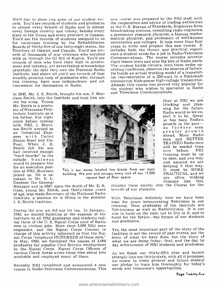We'd like to show you some of our student rec- ords. You'd see records of students and graduates in almost every branch of Radio and in almost every foreign country and colony, besides every broadcasting stations, consulting radio engineers,<br>state in the Union and every province in Canada. - a prominent research physicist, a famous mathestate in the Union and every province in Canada.<br>You'd see the records of students assigned to us for vocational training by the Rehabilitation Boards of thirty-five of our forty-eight states, the years to write and prepare this new course. It<br>Territory of Hawaii, and Canada. You'd see rec- includes both the theory and practical experi-Territory of Hawaii, and Canada. You'd see rec- includes both the theory and practical experi-<br>ords of thousands of war veterans who enrolled ence a student needs for a job in Radio-Television<br>with us through the GI Bill o records of men who have risen high in govern-<br>ment and industry, yet nevertheless acknowledge gratefully the debt they owe the National Radio Institute, and above all you'd see records of that steadily growing body of graduates who, through this training, have won independence and advancement for themselves in Radio.

In 1945, Mr. J. E. Smith, brought his son, J. Morrison Smith, into the Institute and took him un- der his wing. Young

Mr. Smith is a graduate of Worcester Polytechnic Institute, as is his father. For eight with NRI, J. Morrison Smith worked as<br>an Industrial Engi-<br>neer with United States Steel and Du-Pont. When J. E. had received enough<br>"hard knocks" in the outside business world to prepare him for an executive position at NRI, Morrison sistant to Mr. E. L. Degener the General



This is our annex located two blocks from our main building. We own and occupy every inch of our 17,500 square feet of floor space.

Manager and in 1947, upon the death of Mr. E. R. Haas, young Mr. Smith, now thirty -three years of age, was made Secretary of the National Radio Institute, a position he is filling in the genuine With Television definitely here we have been<br>J. E. Smith tradition. busy for years incorporating Television in our J. E. Smith tradition.

1942, we mailed bulletins at the expense of the Institute to all NRI graduates and students tellmen in civilian jobs. More than 3,000 NRI men responded, and the Signal Corps Colonel in charge of this activity informed us that the Signal Corps "employed HUNDREDS of these men." In May, 1942, we furnished the names of 1,000 graduates for possible Civil Service employment by the Signal Corps. Signal Corps Officers of various Corps Areas wrote these men about jobs available and employed many of them.

slipping them quietly into the Course for the benefit of our students.

Here at NRI we are thinking and planning for the future<br>Radio world as we ex-Radio world as we ex- pect it to be. Great as has been Radio's

pect it to be. Since a shase been Radio's<br>growth in the past—<br>we foresee even<br>ahead. More Radio<br>men and BETTER

men and BETTER<br>TRAINED Radio men<br>will be needed than<br>ever before. NRI

training must be up to date, and you may rest assured we are keeping it that way. It must be MORE PRACTICAL, and we<br>are often making<br>changes like this,

new course was prepared by the NRI staff, with the cooperation and advice of leading authorities at the U. S. Bureau of Standards, Engineers from broadcasting stations, consulting radio engineers, matical physicist, and professors of well-known universities and colleges. It took more than four years to write and prepare this new course. It ence a student needs for a job in Radio-Television eight lesson texts and nine big kits of Radio parts. The student builds circuits, tests them under operating conditions, observes the sources of failure. He builds an actual working model of a transmitter representative of a 250 -watt to a 5- kilowatt commercial high-power high-voltage transmitter. Already this course has proved very popular for the student who wishes to specialize in Radio

and Television Communications.

During the war we did our bit too. In January, Teletricians as well as Radiotricians. It is our With Television definitely here we have been training. Now graduates of the Institute are aim to build on the past, not to live in it, and to build for the future—the future of our students and graduates.

> Yes, the most important part of the story of the Institute is not the record of past events, not the story of what we have done, but the story of what we are doing today; that, and the day by day achievement of NRI students and graduates.

Recently NRI completed and announced a new sour pledge to train him thoroughly for today's<br>course in Radio-Television Communications. This sheeds and tomorrow's opportunities. As we finish our thirty-fifth year and launch strongly into our thirty-sixth, with all it promises, we renew to every present and future student needs and tomorrow's opportunities.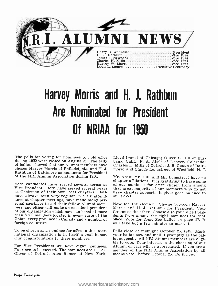

## Harvey Morris and H. J. Rathbun Are Nominated for President Of NRIAA for 1950

The polls for voting for nominees to hold office Lloyd Immel of Chicago; Oliver B. Hill of Burduring 1950 were closed on August 25. The tally bank, Calif.; P. A. Abelt of Denver, Colorado; during 1950 were closed on August 25. The tally of ballots showed that our Alumni members have chosen Harvey Morris of Philadelphia, and H. J. Rathbun of Baltimore as nominees for President<br>of the NRI Alumni Association during 1950. Mr. Abelt, Mr. Hill, and Mr. Longstreet have no of the NRI Alumni Association during 1950.

ance at chapter meetings, have made many per-<br>sonal sacrifices to aid their fellow Alumni mem-<br>bers, and either will make an excellent president whore is and H. J. Rathbun for President. Vote<br>of our organization which now Union, every province in Canada and a number of foreign countries.

To be chosen as a nominee for office in this inter-Our congratulations to these nominees.

For Vice Presidents we have eight nominees. Alumni officers will be appreciated. If you are a<br>Four are to be elected. The nominees are F. Earl member of the NRI Alumni Association by all Four are to be elected. The nominees are F. Earl member of the NRI Alumni Association b Oliver of Detroit; Alex Remer of New York; means vote—before October 25. Do it now. Oliver of Detroit; Alex Remer of New York;

Lloyd Immel of Chicago; Oliver B. Hill of Bur-Charles H. Mills of Detroit; J. B. Gough of Baltimore; and Claude Longstreet of Westfield, N. J.

Both candidates have served several terms as of our nominees for office chosen from among<br>Vice President. Both have served several years that great majority of our members who do not<br>as Chairman of their own local chapters chapter affiliations. It is gratifying to have some

> Morris and H. J. Rathbun for President. Vote dents from among the eight nominees for that office. Vote for four. See ballot on page 27. It will take but a few minutes to mark it.

national organization is in itself a real honor. your ballot now and mail it promptly as the bal-<br>Our congratulations to these nominees. lot suggests. All NRI Alumni members are eligi-Polls close at midnight October 25, 1949. Mark your ballot now and mail it promptly as the balble to vote. Your interest in the choosing of our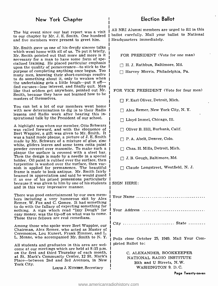#### New York Chapter

The big event since our last report was a visit to our chapter by Mr. J. E. Smith. One hundred and five members were present to greet him.

Mr. Smith gave us one of his deeply sincere talks which went home with all of us. To put it briefly, Mr. Smith pointed out that more and more is it necessary for a man to have some form of specialized training. He placed particular emphasis upon the quality of perseverance—to stick to the purpose of completing anything once begun. Too many men, knowing their short -comings resolve to do something about it, only to weaken when the undertaking gets a little tough -put it off the undertaking gets a little tough—put it off—<br>find excuses—lose interest, and finally quit. Men like that seldom get anywhere, pointed out Mr. Smith, because they have not learned how to be masters of themselves.

You can bet a lot of our members went home with new determination to dig in to their Radio lessons and Radio work after hearing this inspirational talk by the President of our school.

<sup>A</sup>highlight was when our member, Otto Schwarz was called forward, and with the eloquence of was a hand made plaque, a picture of J. E. Smith. made by Mr. Schwarz of a mixture of glue, zinc white, gilders leaves and some terra cotta paint plaque the surface is covered with a steel bar. Then the design is made by a needle in a special holder. Oil paint is rubbed over the surface, then turpentine is washed over the surface, then varnish is applied for permanence. The beautiful beamed in appreciation and said he would guard it as one of his prized possessions particularly because it was given to him by one of his students

There was good entertainment by our own mem-<br>bers including a very humorous skit by Alex Remer, W. Fox and C. Gomez. It had something to do with the fallacy of expecting something for nothing. A sign which read "Izzy Dough" for easy money, was the tip-off on what was to come.<br>Those three fellows are real comedians.

Among those who spoke were Bert Wappler, our Chairman, Alex Remer, who acted as Master of Ceremonies, Lou Kunert, Frank Zimmer, and L. L. Menne, who accompanied Mr. Smith to N. Y.

All students and graduates in this area are wel- come at our meetings which are held at 8:15 p.m. on the first and third Thursday of each month, at St. Mark's Community Center, 12 St. Mark's Place—between 2nd and 3rd Avenues, in New York City.

Louis J. KUNERT, Secretary

All NRI Alumni members are urged to fill in this ballot carefully. Mail your ballot to National Headquarters immediately.

FOR PRESIDENT (Vote for one man)

H. J. Rathbun, Baltimore, Md.

Harvey Morris, Philadelphia, Pa.

FOR VICE PRESIDENT (Vote for four men)

 $\Box$  F. Earl Oliver, Detroit, Mich.

Alex Remer, New York City, N. Y.

 $\Box$  Lloyd Immel, Chicago, Ill.

Oliver B. Hill, Burbank, Calif.

P. A. Abelt, Denver, Colo.

 $\Box$  Chas. H. Mills, Detroit, Mich.

J. B. Gough, Baltimore, Md.

Claude Longstreet, Westfield, N. J.

#### SIGN HERE:

Your Name Your Address .................................. City State

Polls close October 25, 1949. Mail Your Completed Ballot to:

> C. ALEXANDER, BOOKKEEPER NATIONAL RADIO INSTITUTE 16th and U Streets, N. W. WASHINGTON 9, D. C.

> > Page Twenty-seven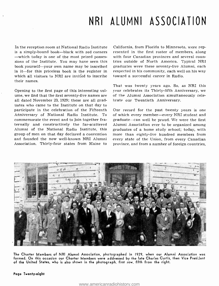### NRI ALUMNI ASSOCIATION

In the reception room at National Radio Institute is a simply-bound book—black with red corners<br>—which today is one of the most prized possessions of the Institute. You may have seen this book yourself-your own name may be inscribed in it—for this priceless book is the register in which all visitors to NRI are invited to inscribe their names.<br>Opening to the first page of this interesting vol-

ume, we find that the first seventy -five names are all dated November 23, 1929; these are all graduates who came to the Institute on that day to participate in the celebration of the Fifteenth Añniversary of National Radio Institute. To commemorate the event and to join together fraternally and constructively the far -scattered Alumni of the National Radio Institute, this group of men on that day declared a convention more than eighty-five hundred members from and founded the now well-known NRI Alumni Association. Thirty -four states from Maine to

California, from Florida to Minnesota, were represented in the first roster of members, along with four Canadian provinces and several coun tries outside of North America. Typical NRI graduates were these seventy-five Alumni, each respected in his community, each well on his way toward a successful career in Radio.

That was twenty years ago. So, as NRI this year celebrates its Thirty -fifth Anniversary, we of the Alumni Association simultaneously celebrate our Twentieth Anniversary.

Our record for the past twenty years is one of which every member-every NRI student and graduate-can well be proud. We were the first Alumni Association ever to be organized among graduates of a home study school; today, with every state of the Union, from every Canadian province, and from a number of foreign countries,



The Charter Members of NRI Alumni Association, photographed in 1929, when our Alumni Association was formed. On this occasion our Charter Members were addressed by the late Charles Curtis, then Vice Presijent of the United States, who is also shown in the photograph, first row, fifth from the right.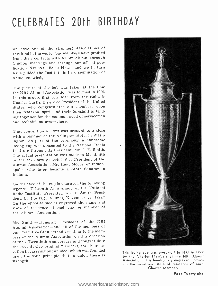## CELEBRATES 20th BIRTHDAY

we have one of the strongest Associations of this kind in the world. Our members have profited from their contacts with fellow Alumni through Chapter meetings and through our official publication NATIONAL RADIO NEws, and we in turn have guided the Institute in its dissemination of Radio knowledge.

The picture at the left was taken at the time the NRI Alumni Association was formed in 1929. In this group, first row fifth from the right, is Charles Curtis, then Vice President of the United States, who congratulated our members upon their fraternal spirit and their foresight in binding together for the common good of servicemen and technicians everywhere.

That convention in 1929 was brought to a close with a banquet at the Arlington Hotel in Washington. As part of the ceremony, a handsome loving cup was presented to the National Radio Institute through its President, Mr. J. E. Smith. The actual presentation was made to Mr. Smith by the then newly elected Vice President of the Alumni Association, Mr. Hoyt Moore, of Indianapolis, who later became a State Senator in Indiana.

On the face of the cup is engraved the following legend: "Fifteenth Anniversary of the National Radio Institute. Presented to J. E. Smith, President, by the NRI Alumni, November 23, 1929." On the opposite side is engraved the name and state of residence of each charter member of the Alumni Association.

Mr. Smith -- Honorary President of the NRI Alumni Association—and all of the members of<br>our Executive Staff extend greetings to the members of the Alumni Association on this occasion of their Twentieth Anniversary and congratulate the seventy -five original members, for their devotion in carrying out an ideal which was founded upon the solid principle that in union there is strength.



This loving cup was presented to NRI in 1929 by the Charter Members of the NRI Alumni Association. It is handsomely engraved, "ncluding the name and state of residence of each Charter Member.

Page Twenty-nine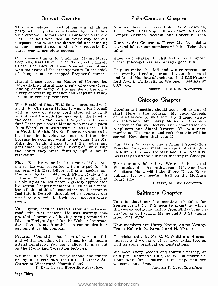This is a belated report of our annual dinner party which is always attended by our ladies. This year we held forth at the Lutheran Veterans Hall. The hall was ideal in every way for our<br>purposes, and while the dinner did not come up - Our very fine Chairman, Harvey Morris, is doing<br>to our expectations, in all other respects the - a grand job for our members wi to our expectations, in all other respects the party was a complete success.

Our sincere thanks to Chairman Mains, Harry – Have an invitation to visit Baltimore Cha<br>Stephens, Earl Oliver, E. C. Baumgarth, Harold – These get-to-gethers are always good fun. Chase, Leo Blevins, Steve Novosel, and others who took care of the arrangements. In the thick Help us make this fall and winter season our of things someone dropped Stephens' camera. best ever by attending our meetings on the second of things someone dropped Stephens' camera.

He really is a natural. Had plenty of good-natured<br>kidding about many of the members. Harold is a very entertaining speaker and keeps up a ready fire of interesting remarks.

Vice President Chas. H. Mills was presented with<br>a gift by Chairman Mains. It was a lead pencil<br>with a piece of strong cord attached to it. It is tart. Here is the program. Mr. Jack Cappels<br>was slipped through the opening the coat. Then the trick is to get it off. Some on Television. Mr. Larry McGee of Precision<br>fun! Chase gave one to Menne, who was our guest Flectronics Co. will lecture and demonstrate on fun! Chase gave one to Menne, who was our guest free tronics Co. will lecture and demonstrate on<br>from Washington, with instructions to present it a symplifiers and Signal Tracers, We will have to Mr. J. E. Smith. Mr. Smith says, as soon as he has time, he is going to figure out the trick because he does not want to get caught as Mr. Mills did. Sends thanks to all the ladieg and gentlemen in Detroit for thinking of him during  $\frac{1}{2}$  president this year, spent two days in Washington<br>the hours they were "cutting up" a bit in on Alumni business. He persuaded the Executive relaxation.

Floyd Buehler came in for some well- deserved praise. He was presented with a tripod for his Photography is a hobby with Floyd. Radio is his business. In fact the gift was to show him that Court side. his ability as an instructor is greatly appreciated by Detroit Chapter members. Buehler is a mem- ber of the staff of instructors at Electronics Institute in Detroit, through whose courtesy our

rooms.<br>Val Guyton, back in Detroit after an extendeu road trip, was present. He was warmly con- chapter as well as gratulated because of having been promoted to from Washington. Division Freight Agent for the Wabash Railroad. Says there is much activity in communications New members are Harry Kreitz, Anton V equipment by his company. Frank Kolarik, R. Bryant and H. Matzor. equipment by his company.

Program Committee has been at work on fall Television talks by Mr. C. M. Whitt are of great and winter schedule of meetings. By all means interest and we have other good talks, too, as attend regularly. You can't afford to miss out on the Radio and Television lectures.

We meet at 8:15 p.m. every second and fourth Friday at Electronics Institute, 21 Henry St., Corner of Woodward (fourth floor).

F. EARL OLIVER, Recording Secretary

#### Detroit Chapter Phila-Camden Chapter

New members are Harry Euker, Z. Vukasovich, E. F. Platti, Earl Vogt, Julius Cohen, Alfred C. Lemper, Carmen Piccinini and Robert F. Ross.

Our very fine Chairman, Harvey Morris, is doing talks.

Have an invitation to visit Baltimore Chapter.

Harold Chase acted as Master of Ceremonies. ford Ave. in Philadelphia. We open meetings at Help us make this fall and winter season our and fourth Mondays of each month at 4510 Frank-8:00 p.m.

ROBERT L. HONNEN, Secretary

#### Chicago Chapter

start. Here is the program. Mr. Jack Cappels of Tele Service Co. will lecture and demonstrate Amplifiers and Signal Tracers. We will have movies on Electronics and refreshments will be served. How does that sound!

Our Harry Andresen, who is Alumni Association President this year, spent two days in Washington Secretary to attend our next meeting in Chicago.

Visit our new laboratory. We meet the second Wednesday of each month at room 1745 American Furniture Mart, 666 Lake Shore Drive. Enter building for our meeting hall on the McClurg

RICHARD, MCCoY, Secretary

#### Baltimore Chapter

Talk is about our big meeting scheduled for September 27 (as this goes to press) at which time we expect some visitors from Phila.-Camden chapter as well as L. L. Menne and J. B. Straughn

New members are Harry Kreitz, Anton Vestby.

Television talks by Mr. C. M. Whitt are of great interest and we have other good talks, too, as well as some practical demonstrations.

We meet every second and fourth Tuesday, at 8:15 p.m., Redmen's Hall, 745 W. Baltimore St. Don't wait for a notice of meeting. You are welcome, any time.

ARTHUR F. LUTZ, Secretary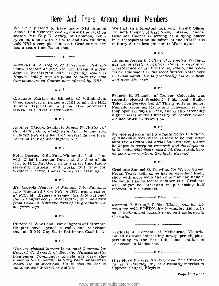### Here And There Among Alumni Members

We were pleased to have many NRI Alumni Association Members visit us during the vacation season. Mr. Guy K. Achey, of Lebanon, Pennsylvania, along with his wife and two children, paid NRI a very pleasant visit. Graduate Achey has a spare time Radio shop.

Alumnus A. J. Hogue, of Pittsburgh, Pennsyl- vania, stopped at NRI. He was spending a few days in Washington with his family. Radio is Hogue's hobby, and he plans to take the new Communications Course now offered by NRI.

 $------n r i$ 

 $\frac{1}{\sqrt{1-\frac{1}{\sqrt{1-\frac{1}{\sqrt{1-\frac{1}{\sqrt{1-\frac{1}{\sqrt{1-\frac{1}{\sqrt{1-\frac{1}{\sqrt{1-\frac{1}{\sqrt{1-\frac{1}{\sqrt{1-\frac{1}{\sqrt{1-\frac{1}{\sqrt{1-\frac{1}{\sqrt{1-\frac{1}{\sqrt{1-\frac{1}{\sqrt{1-\frac{1}{\sqrt{1-\frac{1}{\sqrt{1-\frac{1}{\sqrt{1-\frac{1}{\sqrt{1-\frac{1}{\sqrt{1-\frac{1}{\sqrt{1-\frac{1}{\sqrt{1-\frac{1}{\sqrt{1-\frac{1}{\sqrt{1-\frac{1}{\sqrt{1-\frac{1$ 

Ohio, appeared in person at NRI to join the NRI Alumni Association, and he also purchased several NRI Test Instruments.

Another Ohioan, Graduate James W. Hutton, of Cincinnati, Ohio, along with his wife and son, included NRI as a point of interest during their

vacation tour of Washington, D. C.

 $\cdots$   $\cdots$   $\cdots$ 

Peter George, of St. Paul, Minnesota, had a chat on your new position, Graduate Raymo! with Chief Instructor Dowie at the time of his visit to NRI. Mr. George has a spare time Radio servicing business, and works full time for Western Electric, thanks to his NRI training.

 $\cdots$   $\cdots$   $\cdots$   $\cdots$ 

 $\frac{1}{\sqrt{1-\frac{1}{\sqrt{1-\cdots}}}}$ 

Mr. Leo polk Meades, of Panama City, Panama, who graduated from NRI in 1925, was a visitor at NRI. Mr. Meades attended the International Radio Conference in Washington, as a delegate from Panama. Note the date of his graduation-24 years ago.

Clifford M. Whitt and Frank Ingram of Baltimore Chapter have opened a radio and television shop at 1510 N. Gay St., in Baltimore. Good luck!

 $-\cdots$ n r i $-\cdots$ 

 $\cdots$   $\cdots$   $\cdots$   $\cdots$ 

We were pleased to meet Lieutenant Commander Howard C. Arnold, of Beverly, Massachusetts. Lieutenant Commander Arnold has been stationed in the Philadelphia Navy Yard, assigned to Naval Communications. He is also an active amateur, call WIRXE or K3USN.

We had an interesting talk with Flying Officer Kenneth Cooper, of East View, Ontario, Canada. Graduate Cooper is serving as a flying officer in a transportation squadron of the RCAF. His military duties brought him to Washington.

Alumnus Joseph E. Collins, of Arlington, Virginia, has an interesting position. He is in charge of maintenance of all Electronic, Radio, and Television equipment in the local Statler Hotel here in Washington. He is practically his own boss, and likes his work.

 $\frac{1}{\sqrt{1-\frac{1}{2}}}\left\vert n\right\vert r\right\vert \frac{1}{\sqrt{1-\frac{1}{2}}\left\vert n\right\vert }$ 

 $-\cdots$   $n r$  i-

Francis H. Fingado, of Denver, Colorado, was<br>Graduate Marian A. Kinnett, of Wilmington, recently elected President of his local "Radiorecently elected President of his local "Radio-Fingado keeps his Radio and Television service night classes at the University of Denver, which include work in Television.



We received word that Graduate Roger D. Raymo, of Knoxville, Tennessee, is soon to be connected with the Atlanta Industrial Laboratories, where he hopes to carry on research and development in the industrial electronics field. Congratulations

Graduate Samuel O. Fonville, 708 W. 3rd Street, Pecas, Texas, tells us he has an excellent Radio shop, with more work than one man can handle. He would like to locate another NRI Graduate who might be interested in purchasing half interest in his business.

 $\frac{\ }{\ }$  n r i  $\frac{\ }{\ }$ 

 $\frac{1}{\sqrt{1-\frac{1}{\sqrt{1-\frac{1}{\sqrt{1-\frac{1}{\sqrt{1-\frac{1}{\sqrt{1-\frac{1}{\sqrt{1-\frac{1}{\sqrt{1-\frac{1}{\sqrt{1-\frac{1}{\sqrt{1-\frac{1}{\sqrt{1-\frac{1}{\sqrt{1-\frac{1}{\sqrt{1-\frac{1}{\sqrt{1-\frac{1}{\sqrt{1-\frac{1}{\sqrt{1-\frac{1}{\sqrt{1-\frac{1}{\sqrt{1-\frac{1}{\sqrt{1-\frac{1}{\sqrt{1-\frac{1}{\sqrt{1-\frac{1}{\sqrt{1-\frac{1}{\sqrt{1-\frac{1}{\sqrt{1-\frac{1}{\sqrt{1-\frac{1$ 

Norman P. Fornoff, Pekin, Illinois, now has his on 10 meters, and expects to go on 2 meters with 60 watts.

 $\frac{1}{\sqrt{1-\frac{1}{\sqrt{1-\cdots}}}}$ 

Graduate J. Tarrant, of Melbourne, Victoria, mailed us some interesting newspaper clippings pertaining to the first full demonstration of Television in Melbourne.

 $\frac{1}{\sqrt{1-\frac{1}{\sqrt{1-\frac{1}{\sqrt{1-\frac{1}{\sqrt{1-\frac{1}{\sqrt{1-\frac{1}{\sqrt{1-\frac{1}{\sqrt{1-\frac{1}{\sqrt{1-\frac{1}{\sqrt{1-\frac{1}{\sqrt{1-\frac{1}{\sqrt{1-\frac{1}{\sqrt{1-\frac{1}{\sqrt{1-\frac{1}{\sqrt{1-\frac{1}{\sqrt{1-\frac{1}{\sqrt{1-\frac{1}{\sqrt{1-\frac{1}{\sqrt{1-\frac{1}{\sqrt{1-\frac{1}{\sqrt{1-\frac{1}{\sqrt{1-\frac{1}{\sqrt{1-\frac{1}{\sqrt{1-\frac{1}{\sqrt{1-\frac{1$ 

Miss Mary Frances Brinkley and NRI Graduate James H. Bangley, Jr., were recently married at Cypress Chapel, Virginia.